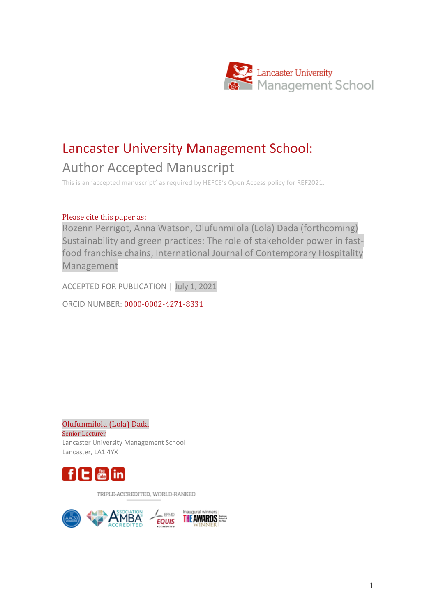

# Lancaster University Management School:

### Author Accepted Manuscript

This is an 'accepted manuscript' as required by HEFCE's Open Access policy for REF2021.

#### Please cite this paper as:

Rozenn Perrigot, Anna Watson, Olufunmilola (Lola) Dada (forthcoming) Sustainability and green practices: The role of stakeholder power in fastfood franchise chains, International Journal of Contemporary Hospitality Management

ACCEPTED FOR PUBLICATION | July 1, 2021

ORCID NUMBER: 0000-0002-4271-8331

Olufunmilola (Lola) Dada Senior Lecturer Lancaster University Management School Lancaster, LA1 4YX



TRIPLE-ACCREDITED, WORLD-RANKED

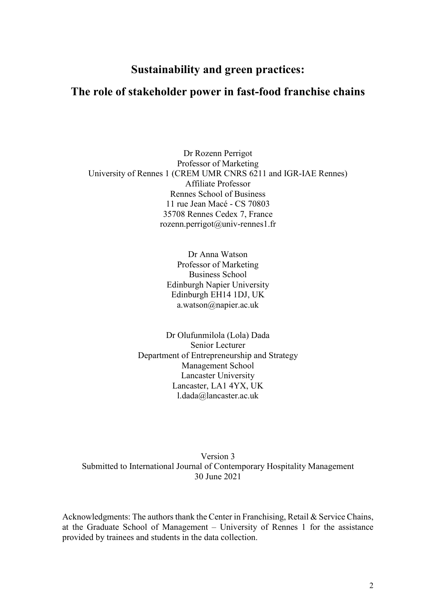#### **Sustainability and green practices:**

#### **The role of stakeholder power in fast-food franchise chains**

Dr Rozenn Perrigot Professor of Marketing University of Rennes 1 (CREM UMR CNRS 6211 and IGR-IAE Rennes) Affiliate Professor Rennes School of Business 11 rue Jean Macé - CS 70803 35708 Rennes Cedex 7, France rozenn.perrigot@univ-rennes1.fr

> Dr Anna Watson Professor of Marketing Business School Edinburgh Napier University Edinburgh EH14 1DJ, UK a.watson@napier.ac.uk

Dr Olufunmilola (Lola) Dada Senior Lecturer Department of Entrepreneurship and Strategy Management School Lancaster University Lancaster, LA1 4YX, UK l.dada@lancaster.ac.uk

Version 3 Submitted to International Journal of Contemporary Hospitality Management 30 June 2021

Acknowledgments: The authors thank the Center in Franchising, Retail & Service Chains, at the Graduate School of Management – University of Rennes 1 for the assistance provided by trainees and students in the data collection.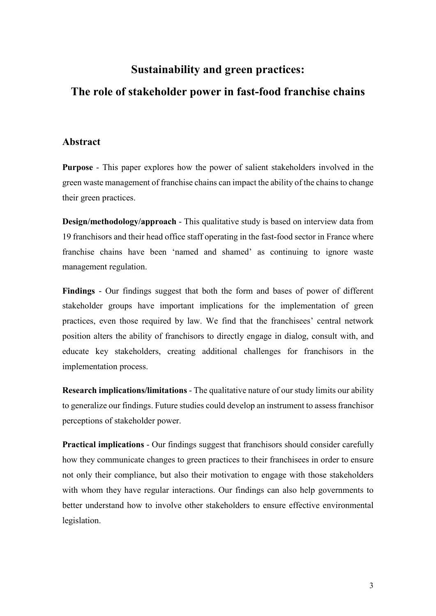## **Sustainability and green practices:**

#### **The role of stakeholder power in fast-food franchise chains**

#### **Abstract**

**Purpose** - This paper explores how the power of salient stakeholders involved in the green waste management of franchise chains can impact the ability of the chains to change their green practices.

**Design/methodology/approach** - This qualitative study is based on interview data from 19 franchisors and their head office staff operating in the fast-food sector in France where franchise chains have been 'named and shamed' as continuing to ignore waste management regulation.

**Findings** - Our findings suggest that both the form and bases of power of different stakeholder groups have important implications for the implementation of green practices, even those required by law. We find that the franchisees' central network position alters the ability of franchisors to directly engage in dialog, consult with, and educate key stakeholders, creating additional challenges for franchisors in the implementation process.

**Research implications/limitations** - The qualitative nature of our study limits our ability to generalize our findings. Future studies could develop an instrument to assess franchisor perceptions of stakeholder power.

**Practical implications** - Our findings suggest that franchisors should consider carefully how they communicate changes to green practices to their franchisees in order to ensure not only their compliance, but also their motivation to engage with those stakeholders with whom they have regular interactions. Our findings can also help governments to better understand how to involve other stakeholders to ensure effective environmental legislation.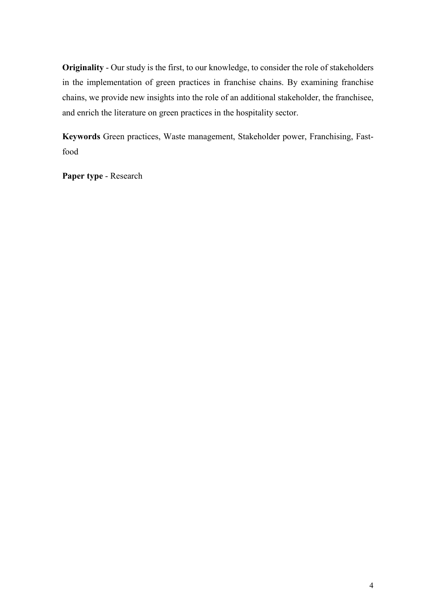**Originality** - Our study is the first, to our knowledge, to consider the role of stakeholders in the implementation of green practices in franchise chains. By examining franchise chains, we provide new insights into the role of an additional stakeholder, the franchisee, and enrich the literature on green practices in the hospitality sector.

**Keywords** Green practices, Waste management, Stakeholder power, Franchising, Fastfood

**Paper type** - Research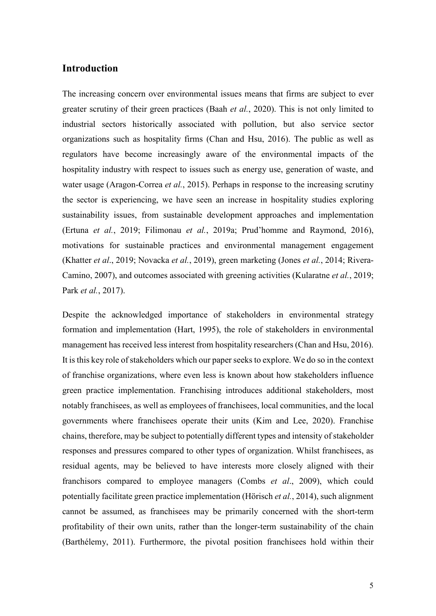#### **Introduction**

The increasing concern over environmental issues means that firms are subject to ever greater scrutiny of their green practices (Baah *et al.*, 2020). This is not only limited to industrial sectors historically associated with pollution, but also service sector organizations such as hospitality firms (Chan and Hsu, 2016). The public as well as regulators have become increasingly aware of the environmental impacts of the hospitality industry with respect to issues such as energy use, generation of waste, and water usage (Aragon-Correa *et al.*, 2015). Perhaps in response to the increasing scrutiny the sector is experiencing, we have seen an increase in hospitality studies exploring sustainability issues, from sustainable development approaches and implementation (Ertuna *et al.*, 2019; Filimonau *et al.*, 2019a; Prud'homme and Raymond, 2016), motivations for sustainable practices and environmental management engagement (Khatter *et al*., 2019; Novacka *et al.*, 2019), green marketing (Jones *et al.*, 2014; Rivera‐ Camino, 2007), and outcomes associated with greening activities (Kularatne *et al.*, 2019; Park *et al.*, 2017).

Despite the acknowledged importance of stakeholders in environmental strategy formation and implementation (Hart, 1995), the role of stakeholders in environmental management has received less interest from hospitality researchers (Chan and Hsu, 2016). It is this key role of stakeholders which our paper seeks to explore. We do so in the context of franchise organizations, where even less is known about how stakeholders influence green practice implementation. Franchising introduces additional stakeholders, most notably franchisees, as well as employees of franchisees, local communities, and the local governments where franchisees operate their units (Kim and Lee, 2020). Franchise chains, therefore, may be subject to potentially different types and intensity of stakeholder responses and pressures compared to other types of organization. Whilst franchisees, as residual agents, may be believed to have interests more closely aligned with their franchisors compared to employee managers (Combs *et al*., 2009), which could potentially facilitate green practice implementation (Hörisch *et al.*, 2014), such alignment cannot be assumed, as franchisees may be primarily concerned with the short-term profitability of their own units, rather than the longer-term sustainability of the chain (Barthélemy, 2011). Furthermore, the pivotal position franchisees hold within their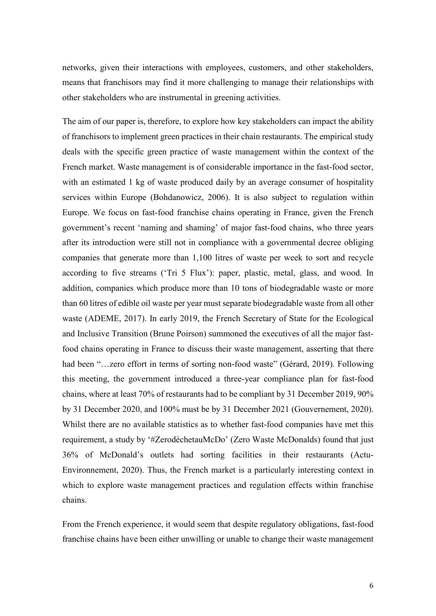networks, given their interactions with employees, customers, and other stakeholders, means that franchisors may find it more challenging to manage their relationships with other stakeholders who are instrumental in greening activities.

The aim of our paper is, therefore, to explore how key stakeholders can impact the ability of franchisors to implement green practices in their chain restaurants. The empirical study deals with the specific green practice of waste management within the context of the French market. Waste management is of considerable importance in the fast-food sector, with an estimated 1 kg of waste produced daily by an average consumer of hospitality services within Europe (Bohdanowicz, 2006). It is also subject to regulation within Europe. We focus on fast-food franchise chains operating in France, given the French government's recent 'naming and shaming' of major fast-food chains, who three years after its introduction were still not in compliance with a governmental decree obliging companies that generate more than 1,100 litres of waste per week to sort and recycle according to five streams ('Tri 5 Flux'): paper, plastic, metal, glass, and wood. In addition, companies which produce more than 10 tons of biodegradable waste or more than 60 litres of edible oil waste per year must separate biodegradable waste from all other waste (ADEME, 2017). In early 2019, the French Secretary of State for the Ecological and Inclusive Transition (Brune Poirson) summoned the executives of all the major fastfood chains operating in France to discuss their waste management, asserting that there had been "...zero effort in terms of sorting non-food waste" (Gérard, 2019). Following this meeting, the government introduced a three-year compliance plan for fast-food chains, where at least 70% of restaurants had to be compliant by 31 December 2019, 90% by 31 December 2020, and 100% must be by 31 December 2021 (Gouvernement, 2020). Whilst there are no available statistics as to whether fast-food companies have met this requirement, a study by '#ZerodéchetauMcDo' (Zero Waste McDonalds) found that just 36% of McDonald's outlets had sorting facilities in their restaurants (Actu-Environnement, 2020). Thus, the French market is a particularly interesting context in which to explore waste management practices and regulation effects within franchise chains.

From the French experience, it would seem that despite regulatory obligations, fast-food franchise chains have been either unwilling or unable to change their waste management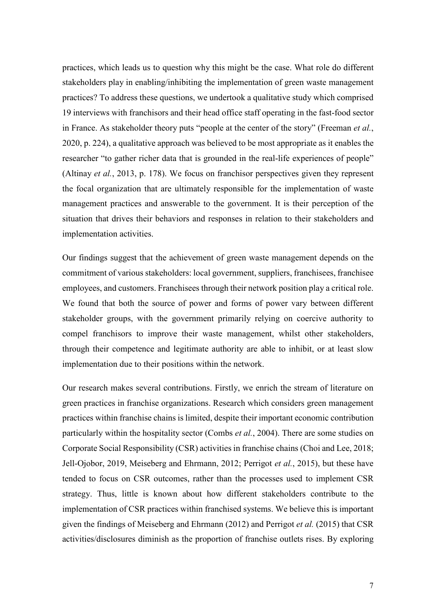practices, which leads us to question why this might be the case. What role do different stakeholders play in enabling/inhibiting the implementation of green waste management practices? To address these questions, we undertook a qualitative study which comprised 19 interviews with franchisors and their head office staff operating in the fast-food sector in France. As stakeholder theory puts "people at the center of the story" (Freeman *et al.*, 2020, p. 224), a qualitative approach was believed to be most appropriate as it enables the researcher "to gather richer data that is grounded in the real-life experiences of people" (Altinay *et al.*, 2013, p. 178). We focus on franchisor perspectives given they represent the focal organization that are ultimately responsible for the implementation of waste management practices and answerable to the government. It is their perception of the situation that drives their behaviors and responses in relation to their stakeholders and implementation activities.

Our findings suggest that the achievement of green waste management depends on the commitment of various stakeholders: local government, suppliers, franchisees, franchisee employees, and customers. Franchisees through their network position play a critical role. We found that both the source of power and forms of power vary between different stakeholder groups, with the government primarily relying on coercive authority to compel franchisors to improve their waste management, whilst other stakeholders, through their competence and legitimate authority are able to inhibit, or at least slow implementation due to their positions within the network.

Our research makes several contributions. Firstly, we enrich the stream of literature on green practices in franchise organizations. Research which considers green management practices within franchise chains is limited, despite their important economic contribution particularly within the hospitality sector (Combs *et al.*, 2004). There are some studies on Corporate Social Responsibility (CSR) activities in franchise chains (Choi and Lee, 2018; Jell-Ojobor, 2019, Meiseberg and Ehrmann, 2012; Perrigot *et al.*, 2015), but these have tended to focus on CSR outcomes, rather than the processes used to implement CSR strategy. Thus, little is known about how different stakeholders contribute to the implementation of CSR practices within franchised systems. We believe this is important given the findings of Meiseberg and Ehrmann (2012) and Perrigot *et al.* (2015) that CSR activities/disclosures diminish as the proportion of franchise outlets rises. By exploring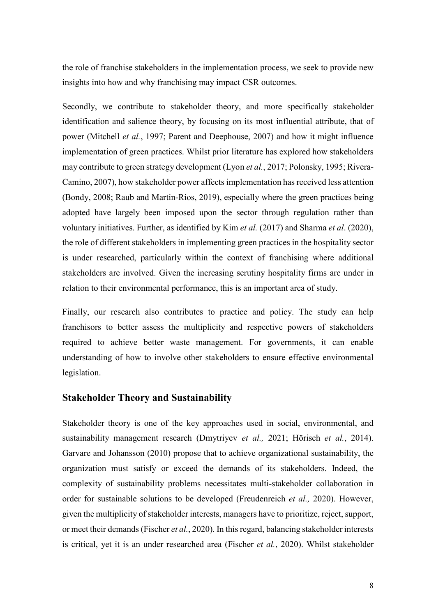the role of franchise stakeholders in the implementation process, we seek to provide new insights into how and why franchising may impact CSR outcomes.

Secondly, we contribute to stakeholder theory, and more specifically stakeholder identification and salience theory, by focusing on its most influential attribute, that of power (Mitchell *et al.*, 1997; Parent and Deephouse, 2007) and how it might influence implementation of green practices. Whilst prior literature has explored how stakeholders may contribute to green strategy development (Lyon *et al.*, 2017; Polonsky, 1995; Rivera-Camino, 2007), how stakeholder power affects implementation has received less attention (Bondy, 2008; Raub and Martin-Rios, 2019), especially where the green practices being adopted have largely been imposed upon the sector through regulation rather than voluntary initiatives. Further, as identified by Kim *et al.* (2017) and Sharma *et al*. (2020), the role of different stakeholders in implementing green practices in the hospitality sector is under researched, particularly within the context of franchising where additional stakeholders are involved. Given the increasing scrutiny hospitality firms are under in relation to their environmental performance, this is an important area of study.

Finally, our research also contributes to practice and policy. The study can help franchisors to better assess the multiplicity and respective powers of stakeholders required to achieve better waste management. For governments, it can enable understanding of how to involve other stakeholders to ensure effective environmental legislation.

#### **Stakeholder Theory and Sustainability**

Stakeholder theory is one of the key approaches used in social, environmental, and sustainability management research (Dmytriyev *et al.,* 2021; Hörisch *et al.*, 2014). Garvare and Johansson (2010) propose that to achieve organizational sustainability, the organization must satisfy or exceed the demands of its stakeholders. Indeed, the complexity of sustainability problems necessitates multi-stakeholder collaboration in order for sustainable solutions to be developed (Freudenreich *et al.,* 2020). However, given the multiplicity of stakeholder interests, managers have to prioritize, reject, support, or meet their demands (Fischer *et al.*, 2020). In this regard, balancing stakeholder interests is critical, yet it is an under researched area (Fischer *et al.*, 2020). Whilst stakeholder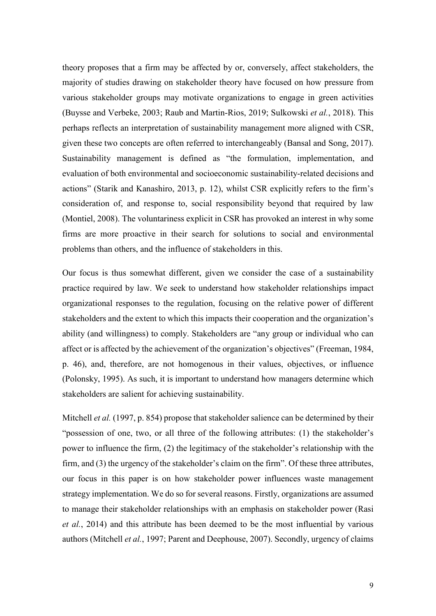theory proposes that a firm may be affected by or, conversely, affect stakeholders, the majority of studies drawing on stakeholder theory have focused on how pressure from various stakeholder groups may motivate organizations to engage in green activities (Buysse and Verbeke, 2003; Raub and Martin-Rios, 2019; Sulkowski *et al.*, 2018). This perhaps reflects an interpretation of sustainability management more aligned with CSR, given these two concepts are often referred to interchangeably (Bansal and Song, 2017). Sustainability management is defined as "the formulation, implementation, and evaluation of both environmental and socioeconomic sustainability-related decisions and actions" (Starik and Kanashiro, 2013, p. 12), whilst CSR explicitly refers to the firm's consideration of, and response to, social responsibility beyond that required by law (Montiel, 2008). The voluntariness explicit in CSR has provoked an interest in why some firms are more proactive in their search for solutions to social and environmental problems than others, and the influence of stakeholders in this.

Our focus is thus somewhat different, given we consider the case of a sustainability practice required by law. We seek to understand how stakeholder relationships impact organizational responses to the regulation, focusing on the relative power of different stakeholders and the extent to which this impacts their cooperation and the organization's ability (and willingness) to comply. Stakeholders are "any group or individual who can affect or is affected by the achievement of the organization's objectives" (Freeman, 1984, p. 46), and, therefore, are not homogenous in their values, objectives, or influence (Polonsky, 1995). As such, it is important to understand how managers determine which stakeholders are salient for achieving sustainability.

Mitchell *et al.* (1997, p. 854) propose that stakeholder salience can be determined by their "possession of one, two, or all three of the following attributes: (1) the stakeholder's power to influence the firm, (2) the legitimacy of the stakeholder's relationship with the firm, and (3) the urgency of the stakeholder's claim on the firm". Of these three attributes, our focus in this paper is on how stakeholder power influences waste management strategy implementation. We do so for several reasons. Firstly, organizations are assumed to manage their stakeholder relationships with an emphasis on stakeholder power (Rasi *et al.*, 2014) and this attribute has been deemed to be the most influential by various authors (Mitchell *et al.*, 1997; Parent and Deephouse, 2007). Secondly, urgency of claims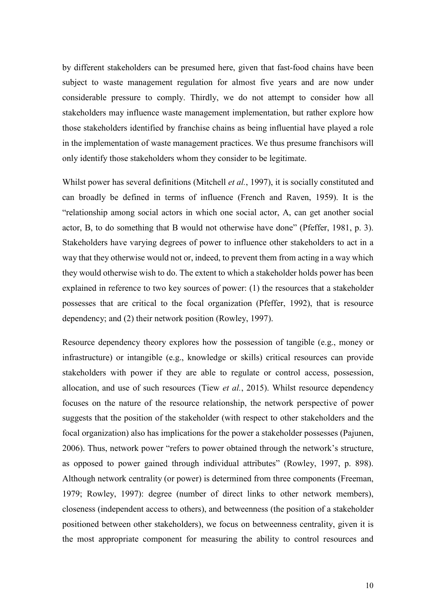by different stakeholders can be presumed here, given that fast-food chains have been subject to waste management regulation for almost five years and are now under considerable pressure to comply. Thirdly, we do not attempt to consider how all stakeholders may influence waste management implementation, but rather explore how those stakeholders identified by franchise chains as being influential have played a role in the implementation of waste management practices. We thus presume franchisors will only identify those stakeholders whom they consider to be legitimate.

Whilst power has several definitions (Mitchell *et al.*, 1997), it is socially constituted and can broadly be defined in terms of influence (French and Raven, 1959). It is the "relationship among social actors in which one social actor, A, can get another social actor, B, to do something that B would not otherwise have done" (Pfeffer, 1981, p. 3). Stakeholders have varying degrees of power to influence other stakeholders to act in a way that they otherwise would not or, indeed, to prevent them from acting in a way which they would otherwise wish to do. The extent to which a stakeholder holds power has been explained in reference to two key sources of power: (1) the resources that a stakeholder possesses that are critical to the focal organization (Pfeffer, 1992), that is resource dependency; and (2) their network position (Rowley, 1997).

Resource dependency theory explores how the possession of tangible (e.g., money or infrastructure) or intangible (e.g., knowledge or skills) critical resources can provide stakeholders with power if they are able to regulate or control access, possession, allocation, and use of such resources (Tiew *et al.*, 2015). Whilst resource dependency focuses on the nature of the resource relationship, the network perspective of power suggests that the position of the stakeholder (with respect to other stakeholders and the focal organization) also has implications for the power a stakeholder possesses (Pajunen, 2006). Thus, network power "refers to power obtained through the network's structure, as opposed to power gained through individual attributes" (Rowley, 1997, p. 898). Although network centrality (or power) is determined from three components (Freeman, 1979; Rowley, 1997): degree (number of direct links to other network members), closeness (independent access to others), and betweenness (the position of a stakeholder positioned between other stakeholders), we focus on betweenness centrality, given it is the most appropriate component for measuring the ability to control resources and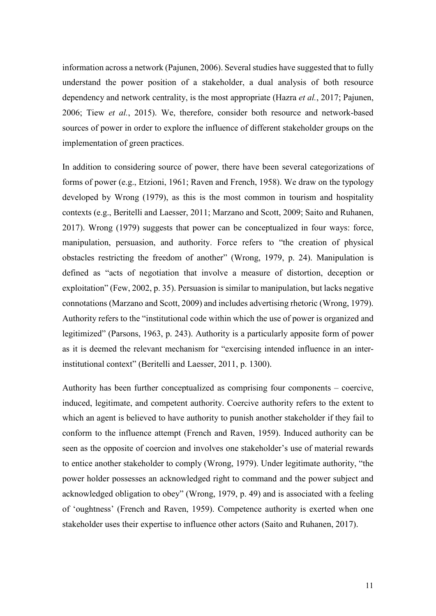information across a network (Pajunen, 2006). Several studies have suggested that to fully understand the power position of a stakeholder, a dual analysis of both resource dependency and network centrality, is the most appropriate (Hazra *et al.*, 2017; Pajunen, 2006; Tiew *et al.*, 2015). We, therefore, consider both resource and network-based sources of power in order to explore the influence of different stakeholder groups on the implementation of green practices.

In addition to considering source of power, there have been several categorizations of forms of power (e.g., Etzioni, 1961; Raven and French, 1958). We draw on the typology developed by Wrong (1979), as this is the most common in tourism and hospitality contexts (e.g., Beritelli and Laesser, 2011; Marzano and Scott, 2009; Saito and Ruhanen, 2017). Wrong (1979) suggests that power can be conceptualized in four ways: force, manipulation, persuasion, and authority. Force refers to "the creation of physical obstacles restricting the freedom of another" (Wrong, 1979, p. 24). Manipulation is defined as "acts of negotiation that involve a measure of distortion, deception or exploitation" (Few, 2002, p. 35). Persuasion is similar to manipulation, but lacks negative connotations (Marzano and Scott, 2009) and includes advertising rhetoric (Wrong, 1979). Authority refers to the "institutional code within which the use of power is organized and legitimized" (Parsons, 1963, p. 243). Authority is a particularly apposite form of power as it is deemed the relevant mechanism for "exercising intended influence in an interinstitutional context" (Beritelli and Laesser, 2011, p. 1300).

Authority has been further conceptualized as comprising four components – coercive, induced, legitimate, and competent authority. Coercive authority refers to the extent to which an agent is believed to have authority to punish another stakeholder if they fail to conform to the influence attempt (French and Raven, 1959). Induced authority can be seen as the opposite of coercion and involves one stakeholder's use of material rewards to entice another stakeholder to comply (Wrong, 1979). Under legitimate authority, "the power holder possesses an acknowledged right to command and the power subject and acknowledged obligation to obey" (Wrong, 1979, p. 49) and is associated with a feeling of 'oughtness' (French and Raven, 1959). Competence authority is exerted when one stakeholder uses their expertise to influence other actors (Saito and Ruhanen, 2017).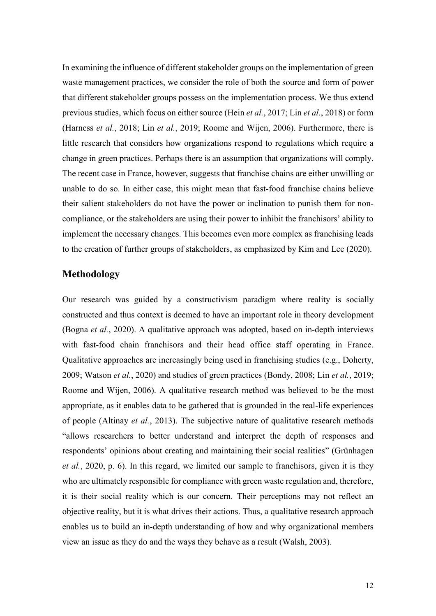In examining the influence of different stakeholder groups on the implementation of green waste management practices, we consider the role of both the source and form of power that different stakeholder groups possess on the implementation process. We thus extend previous studies, which focus on either source (Hein *et al.*, 2017; Lin *et al.*, 2018) or form (Harness *et al.*, 2018; Lin *et al.*, 2019; Roome and Wijen, 2006). Furthermore, there is little research that considers how organizations respond to regulations which require a change in green practices. Perhaps there is an assumption that organizations will comply. The recent case in France, however, suggests that franchise chains are either unwilling or unable to do so. In either case, this might mean that fast-food franchise chains believe their salient stakeholders do not have the power or inclination to punish them for noncompliance, or the stakeholders are using their power to inhibit the franchisors' ability to implement the necessary changes. This becomes even more complex as franchising leads to the creation of further groups of stakeholders, as emphasized by Kim and Lee (2020).

#### **Methodology**

Our research was guided by a constructivism paradigm where reality is socially constructed and thus context is deemed to have an important role in theory development (Bogna *et al.*, 2020). A qualitative approach was adopted, based on in-depth interviews with fast-food chain franchisors and their head office staff operating in France. Qualitative approaches are increasingly being used in franchising studies (e.g., Doherty, 2009; Watson *et al.*, 2020) and studies of green practices (Bondy, 2008; Lin *et al.*, 2019; Roome and Wijen, 2006). A qualitative research method was believed to be the most appropriate, as it enables data to be gathered that is grounded in the real-life experiences of people (Altinay *et al.*, 2013). The subjective nature of qualitative research methods "allows researchers to better understand and interpret the depth of responses and respondents' opinions about creating and maintaining their social realities" (Grünhagen *et al.*, 2020, p. 6). In this regard, we limited our sample to franchisors, given it is they who are ultimately responsible for compliance with green waste regulation and, therefore, it is their social reality which is our concern. Their perceptions may not reflect an objective reality, but it is what drives their actions. Thus, a qualitative research approach enables us to build an in-depth understanding of how and why organizational members view an issue as they do and the ways they behave as a result (Walsh, 2003).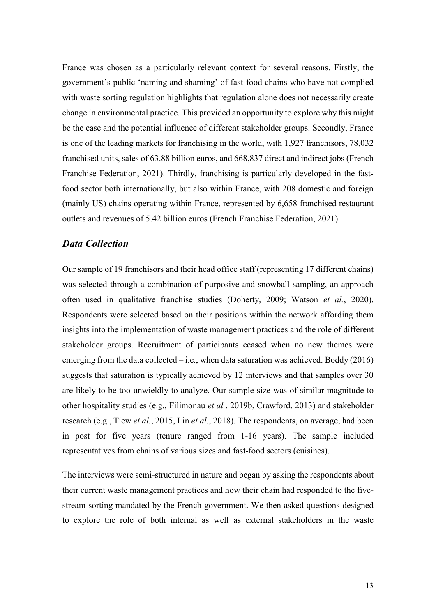France was chosen as a particularly relevant context for several reasons. Firstly, the government's public 'naming and shaming' of fast-food chains who have not complied with waste sorting regulation highlights that regulation alone does not necessarily create change in environmental practice. This provided an opportunity to explore why this might be the case and the potential influence of different stakeholder groups. Secondly, France is one of the leading markets for franchising in the world, with 1,927 franchisors, 78,032 franchised units, sales of 63.88 billion euros, and 668,837 direct and indirect jobs (French Franchise Federation, 2021). Thirdly, franchising is particularly developed in the fastfood sector both internationally, but also within France, with 208 domestic and foreign (mainly US) chains operating within France, represented by 6,658 franchised restaurant outlets and revenues of 5.42 billion euros (French Franchise Federation, 2021).

#### *Data Collection*

Our sample of 19 franchisors and their head office staff (representing 17 different chains) was selected through a combination of purposive and snowball sampling, an approach often used in qualitative franchise studies (Doherty, 2009; Watson *et al.*, 2020). Respondents were selected based on their positions within the network affording them insights into the implementation of waste management practices and the role of different stakeholder groups. Recruitment of participants ceased when no new themes were emerging from the data collected  $-i.e.,$  when data saturation was achieved. Boddy (2016) suggests that saturation is typically achieved by 12 interviews and that samples over 30 are likely to be too unwieldly to analyze. Our sample size was of similar magnitude to other hospitality studies (e.g., Filimonau *et al.*, 2019b, Crawford, 2013) and stakeholder research (e.g., Tiew *et al.*, 2015, Lin *et al.*, 2018). The respondents, on average, had been in post for five years (tenure ranged from 1-16 years). The sample included representatives from chains of various sizes and fast-food sectors (cuisines).

The interviews were semi-structured in nature and began by asking the respondents about their current waste management practices and how their chain had responded to the fivestream sorting mandated by the French government. We then asked questions designed to explore the role of both internal as well as external stakeholders in the waste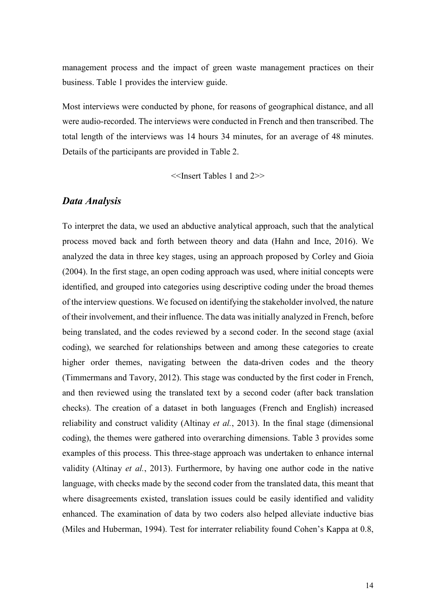management process and the impact of green waste management practices on their business. Table 1 provides the interview guide.

Most interviews were conducted by phone, for reasons of geographical distance, and all were audio-recorded. The interviews were conducted in French and then transcribed. The total length of the interviews was 14 hours 34 minutes, for an average of 48 minutes. Details of the participants are provided in Table 2.

<<Insert Tables 1 and 2>>

#### *Data Analysis*

To interpret the data, we used an abductive analytical approach, such that the analytical process moved back and forth between theory and data (Hahn and Ince, 2016). We analyzed the data in three key stages, using an approach proposed by Corley and Gioia (2004). In the first stage, an open coding approach was used, where initial concepts were identified, and grouped into categories using descriptive coding under the broad themes of the interview questions. We focused on identifying the stakeholder involved, the nature of their involvement, and their influence. The data was initially analyzed in French, before being translated, and the codes reviewed by a second coder. In the second stage (axial coding), we searched for relationships between and among these categories to create higher order themes, navigating between the data-driven codes and the theory (Timmermans and Tavory, 2012). This stage was conducted by the first coder in French, and then reviewed using the translated text by a second coder (after back translation checks). The creation of a dataset in both languages (French and English) increased reliability and construct validity (Altinay *et al.*, 2013). In the final stage (dimensional coding), the themes were gathered into overarching dimensions. Table 3 provides some examples of this process. This three-stage approach was undertaken to enhance internal validity (Altinay *et al.*, 2013). Furthermore, by having one author code in the native language, with checks made by the second coder from the translated data, this meant that where disagreements existed, translation issues could be easily identified and validity enhanced. The examination of data by two coders also helped alleviate inductive bias (Miles and Huberman, 1994). Test for interrater reliability found Cohen's Kappa at 0.8,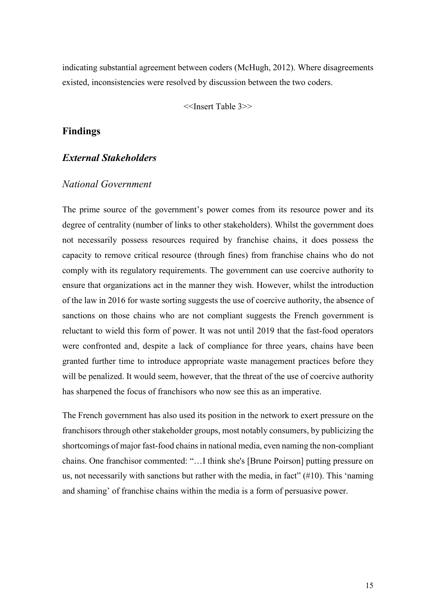indicating substantial agreement between coders (McHugh, 2012). Where disagreements existed, inconsistencies were resolved by discussion between the two coders.

<<Insert Table 3>>

#### **Findings**

#### *External Stakeholders*

#### *National Government*

The prime source of the government's power comes from its resource power and its degree of centrality (number of links to other stakeholders). Whilst the government does not necessarily possess resources required by franchise chains, it does possess the capacity to remove critical resource (through fines) from franchise chains who do not comply with its regulatory requirements. The government can use coercive authority to ensure that organizations act in the manner they wish. However, whilst the introduction of the law in 2016 for waste sorting suggests the use of coercive authority, the absence of sanctions on those chains who are not compliant suggests the French government is reluctant to wield this form of power. It was not until 2019 that the fast-food operators were confronted and, despite a lack of compliance for three years, chains have been granted further time to introduce appropriate waste management practices before they will be penalized. It would seem, however, that the threat of the use of coercive authority has sharpened the focus of franchisors who now see this as an imperative.

The French government has also used its position in the network to exert pressure on the franchisors through other stakeholder groups, most notably consumers, by publicizing the shortcomings of major fast-food chains in national media, even naming the non-compliant chains. One franchisor commented: "…I think she's [Brune Poirson] putting pressure on us, not necessarily with sanctions but rather with the media, in fact" (#10). This 'naming and shaming' of franchise chains within the media is a form of persuasive power.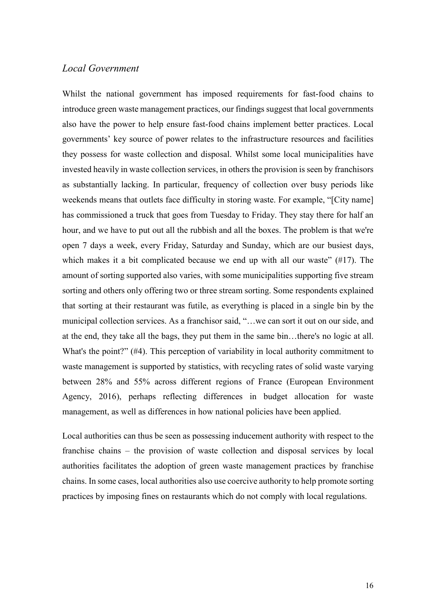#### *Local Government*

Whilst the national government has imposed requirements for fast-food chains to introduce green waste management practices, our findings suggest that local governments also have the power to help ensure fast-food chains implement better practices. Local governments' key source of power relates to the infrastructure resources and facilities they possess for waste collection and disposal. Whilst some local municipalities have invested heavily in waste collection services, in others the provision is seen by franchisors as substantially lacking. In particular, frequency of collection over busy periods like weekends means that outlets face difficulty in storing waste. For example, "[City name] has commissioned a truck that goes from Tuesday to Friday. They stay there for half an hour, and we have to put out all the rubbish and all the boxes. The problem is that we're open 7 days a week, every Friday, Saturday and Sunday, which are our busiest days, which makes it a bit complicated because we end up with all our waste"  $(\#17)$ . The amount of sorting supported also varies, with some municipalities supporting five stream sorting and others only offering two or three stream sorting. Some respondents explained that sorting at their restaurant was futile, as everything is placed in a single bin by the municipal collection services. As a franchisor said, "…we can sort it out on our side, and at the end, they take all the bags, they put them in the same bin…there's no logic at all. What's the point?" (#4). This perception of variability in local authority commitment to waste management is supported by statistics, with recycling rates of solid waste varying between 28% and 55% across different regions of France (European Environment Agency, 2016), perhaps reflecting differences in budget allocation for waste management, as well as differences in how national policies have been applied.

Local authorities can thus be seen as possessing inducement authority with respect to the franchise chains – the provision of waste collection and disposal services by local authorities facilitates the adoption of green waste management practices by franchise chains. In some cases, local authorities also use coercive authority to help promote sorting practices by imposing fines on restaurants which do not comply with local regulations.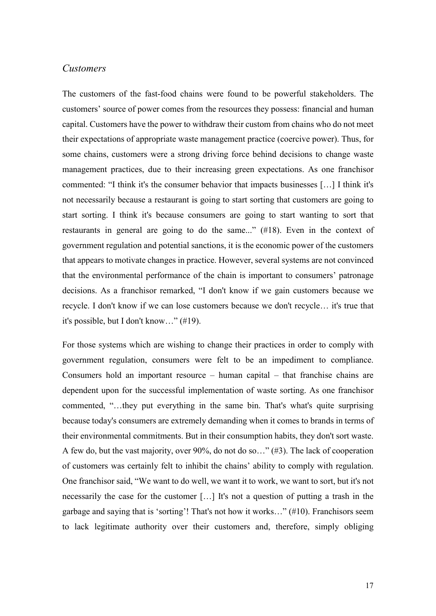#### *Customers*

The customers of the fast-food chains were found to be powerful stakeholders. The customers' source of power comes from the resources they possess: financial and human capital. Customers have the power to withdraw their custom from chains who do not meet their expectations of appropriate waste management practice (coercive power). Thus, for some chains, customers were a strong driving force behind decisions to change waste management practices, due to their increasing green expectations. As one franchisor commented: "I think it's the consumer behavior that impacts businesses […] I think it's not necessarily because a restaurant is going to start sorting that customers are going to start sorting. I think it's because consumers are going to start wanting to sort that restaurants in general are going to do the same..." (#18). Even in the context of government regulation and potential sanctions, it is the economic power of the customers that appears to motivate changes in practice. However, several systems are not convinced that the environmental performance of the chain is important to consumers' patronage decisions. As a franchisor remarked, "I don't know if we gain customers because we recycle. I don't know if we can lose customers because we don't recycle… it's true that it's possible, but I don't know…" (#19).

For those systems which are wishing to change their practices in order to comply with government regulation, consumers were felt to be an impediment to compliance. Consumers hold an important resource – human capital – that franchise chains are dependent upon for the successful implementation of waste sorting. As one franchisor commented, "…they put everything in the same bin. That's what's quite surprising because today's consumers are extremely demanding when it comes to brands in terms of their environmental commitments. But in their consumption habits, they don't sort waste. A few do, but the vast majority, over 90%, do not do so…" (#3). The lack of cooperation of customers was certainly felt to inhibit the chains' ability to comply with regulation. One franchisor said, "We want to do well, we want it to work, we want to sort, but it's not necessarily the case for the customer […] It's not a question of putting a trash in the garbage and saying that is 'sorting'! That's not how it works…" (#10). Franchisors seem to lack legitimate authority over their customers and, therefore, simply obliging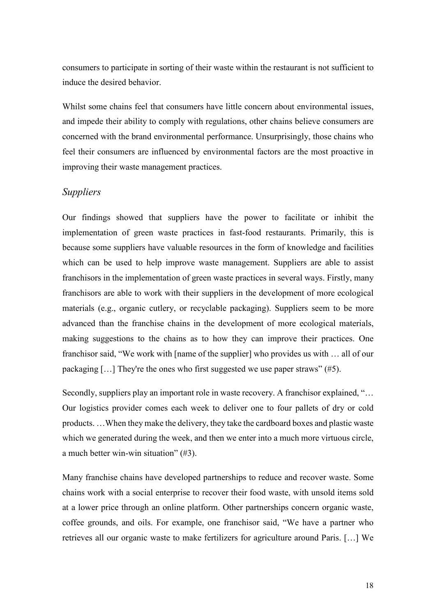consumers to participate in sorting of their waste within the restaurant is not sufficient to induce the desired behavior.

Whilst some chains feel that consumers have little concern about environmental issues, and impede their ability to comply with regulations, other chains believe consumers are concerned with the brand environmental performance. Unsurprisingly, those chains who feel their consumers are influenced by environmental factors are the most proactive in improving their waste management practices.

#### *Suppliers*

Our findings showed that suppliers have the power to facilitate or inhibit the implementation of green waste practices in fast-food restaurants. Primarily, this is because some suppliers have valuable resources in the form of knowledge and facilities which can be used to help improve waste management. Suppliers are able to assist franchisors in the implementation of green waste practices in several ways. Firstly, many franchisors are able to work with their suppliers in the development of more ecological materials (e.g., organic cutlery, or recyclable packaging). Suppliers seem to be more advanced than the franchise chains in the development of more ecological materials, making suggestions to the chains as to how they can improve their practices. One franchisor said, "We work with [name of the supplier] who provides us with … all of our packaging […] They're the ones who first suggested we use paper straws" (#5).

Secondly, suppliers play an important role in waste recovery. A franchisor explained, "... Our logistics provider comes each week to deliver one to four pallets of dry or cold products. …When they make the delivery, they take the cardboard boxes and plastic waste which we generated during the week, and then we enter into a much more virtuous circle, a much better win-win situation" (#3).

Many franchise chains have developed partnerships to reduce and recover waste. Some chains work with a social enterprise to recover their food waste, with unsold items sold at a lower price through an online platform. Other partnerships concern organic waste, coffee grounds, and oils. For example, one franchisor said, "We have a partner who retrieves all our organic waste to make fertilizers for agriculture around Paris. […] We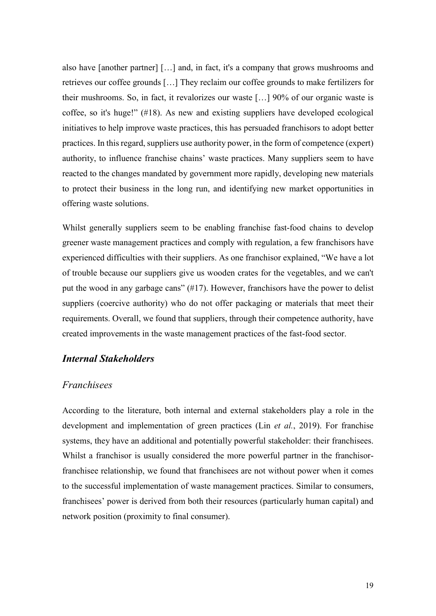also have [another partner] […] and, in fact, it's a company that grows mushrooms and retrieves our coffee grounds […] They reclaim our coffee grounds to make fertilizers for their mushrooms. So, in fact, it revalorizes our waste […] 90% of our organic waste is coffee, so it's huge!" (#18). As new and existing suppliers have developed ecological initiatives to help improve waste practices, this has persuaded franchisors to adopt better practices. In this regard, suppliers use authority power, in the form of competence (expert) authority, to influence franchise chains' waste practices. Many suppliers seem to have reacted to the changes mandated by government more rapidly, developing new materials to protect their business in the long run, and identifying new market opportunities in offering waste solutions.

Whilst generally suppliers seem to be enabling franchise fast-food chains to develop greener waste management practices and comply with regulation, a few franchisors have experienced difficulties with their suppliers. As one franchisor explained, "We have a lot of trouble because our suppliers give us wooden crates for the vegetables, and we can't put the wood in any garbage cans" (#17). However, franchisors have the power to delist suppliers (coercive authority) who do not offer packaging or materials that meet their requirements. Overall, we found that suppliers, through their competence authority, have created improvements in the waste management practices of the fast-food sector.

#### *Internal Stakeholders*

#### *Franchisees*

According to the literature, both internal and external stakeholders play a role in the development and implementation of green practices (Lin *et al.*, 2019). For franchise systems, they have an additional and potentially powerful stakeholder: their franchisees. Whilst a franchisor is usually considered the more powerful partner in the franchisorfranchisee relationship, we found that franchisees are not without power when it comes to the successful implementation of waste management practices. Similar to consumers, franchisees' power is derived from both their resources (particularly human capital) and network position (proximity to final consumer).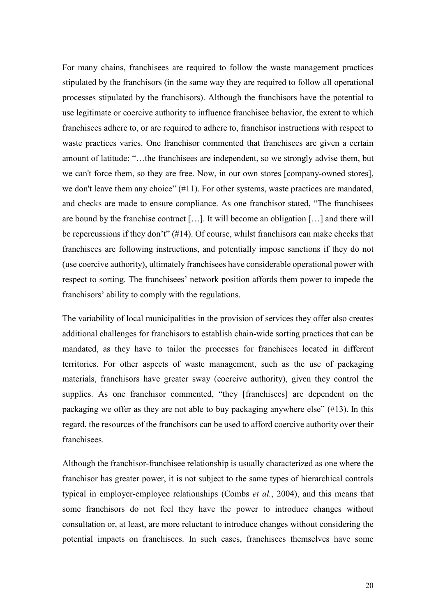For many chains, franchisees are required to follow the waste management practices stipulated by the franchisors (in the same way they are required to follow all operational processes stipulated by the franchisors). Although the franchisors have the potential to use legitimate or coercive authority to influence franchisee behavior, the extent to which franchisees adhere to, or are required to adhere to, franchisor instructions with respect to waste practices varies. One franchisor commented that franchisees are given a certain amount of latitude: "…the franchisees are independent, so we strongly advise them, but we can't force them, so they are free. Now, in our own stores [company-owned stores], we don't leave them any choice" (#11). For other systems, waste practices are mandated, and checks are made to ensure compliance. As one franchisor stated, "The franchisees are bound by the franchise contract […]. It will become an obligation […] and there will be repercussions if they don't" (#14). Of course, whilst franchisors can make checks that franchisees are following instructions, and potentially impose sanctions if they do not (use coercive authority), ultimately franchisees have considerable operational power with respect to sorting. The franchisees' network position affords them power to impede the franchisors' ability to comply with the regulations.

The variability of local municipalities in the provision of services they offer also creates additional challenges for franchisors to establish chain-wide sorting practices that can be mandated, as they have to tailor the processes for franchisees located in different territories. For other aspects of waste management, such as the use of packaging materials, franchisors have greater sway (coercive authority), given they control the supplies. As one franchisor commented, "they [franchisees] are dependent on the packaging we offer as they are not able to buy packaging anywhere else" (#13). In this regard, the resources of the franchisors can be used to afford coercive authority over their franchisees.

Although the franchisor-franchisee relationship is usually characterized as one where the franchisor has greater power, it is not subject to the same types of hierarchical controls typical in employer-employee relationships (Combs *et al.*, 2004), and this means that some franchisors do not feel they have the power to introduce changes without consultation or, at least, are more reluctant to introduce changes without considering the potential impacts on franchisees. In such cases, franchisees themselves have some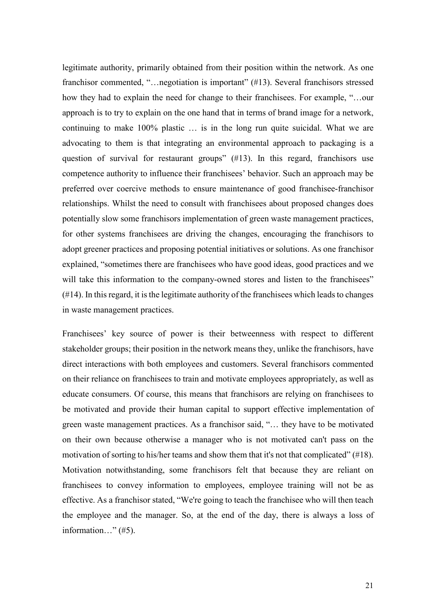legitimate authority, primarily obtained from their position within the network. As one franchisor commented, "…negotiation is important" (#13). Several franchisors stressed how they had to explain the need for change to their franchisees. For example, "…our approach is to try to explain on the one hand that in terms of brand image for a network, continuing to make 100% plastic … is in the long run quite suicidal. What we are advocating to them is that integrating an environmental approach to packaging is a question of survival for restaurant groups" (#13). In this regard, franchisors use competence authority to influence their franchisees' behavior. Such an approach may be preferred over coercive methods to ensure maintenance of good franchisee-franchisor relationships. Whilst the need to consult with franchisees about proposed changes does potentially slow some franchisors implementation of green waste management practices, for other systems franchisees are driving the changes, encouraging the franchisors to adopt greener practices and proposing potential initiatives or solutions. As one franchisor explained, "sometimes there are franchisees who have good ideas, good practices and we will take this information to the company-owned stores and listen to the franchisees"  $(414)$ . In this regard, it is the legitimate authority of the franchisees which leads to changes in waste management practices.

Franchisees' key source of power is their betweenness with respect to different stakeholder groups; their position in the network means they, unlike the franchisors, have direct interactions with both employees and customers. Several franchisors commented on their reliance on franchisees to train and motivate employees appropriately, as well as educate consumers. Of course, this means that franchisors are relying on franchisees to be motivated and provide their human capital to support effective implementation of green waste management practices. As a franchisor said, "… they have to be motivated on their own because otherwise a manager who is not motivated can't pass on the motivation of sorting to his/her teams and show them that it's not that complicated" (#18). Motivation notwithstanding, some franchisors felt that because they are reliant on franchisees to convey information to employees, employee training will not be as effective. As a franchisor stated, "We're going to teach the franchisee who will then teach the employee and the manager. So, at the end of the day, there is always a loss of information…" (#5).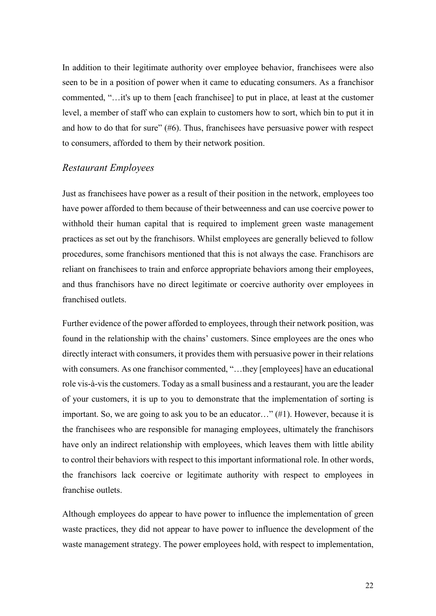In addition to their legitimate authority over employee behavior, franchisees were also seen to be in a position of power when it came to educating consumers. As a franchisor commented, "…it's up to them [each franchisee] to put in place, at least at the customer level, a member of staff who can explain to customers how to sort, which bin to put it in and how to do that for sure" (#6). Thus, franchisees have persuasive power with respect to consumers, afforded to them by their network position.

#### *Restaurant Employees*

Just as franchisees have power as a result of their position in the network, employees too have power afforded to them because of their betweenness and can use coercive power to withhold their human capital that is required to implement green waste management practices as set out by the franchisors. Whilst employees are generally believed to follow procedures, some franchisors mentioned that this is not always the case. Franchisors are reliant on franchisees to train and enforce appropriate behaviors among their employees, and thus franchisors have no direct legitimate or coercive authority over employees in franchised outlets.

Further evidence of the power afforded to employees, through their network position, was found in the relationship with the chains' customers. Since employees are the ones who directly interact with consumers, it provides them with persuasive power in their relations with consumers. As one franchisor commented, "...they [employees] have an educational role vis-à-vis the customers. Today as a small business and a restaurant, you are the leader of your customers, it is up to you to demonstrate that the implementation of sorting is important. So, we are going to ask you to be an educator…" (#1). However, because it is the franchisees who are responsible for managing employees, ultimately the franchisors have only an indirect relationship with employees, which leaves them with little ability to control their behaviors with respect to this important informational role. In other words, the franchisors lack coercive or legitimate authority with respect to employees in franchise outlets.

Although employees do appear to have power to influence the implementation of green waste practices, they did not appear to have power to influence the development of the waste management strategy. The power employees hold, with respect to implementation,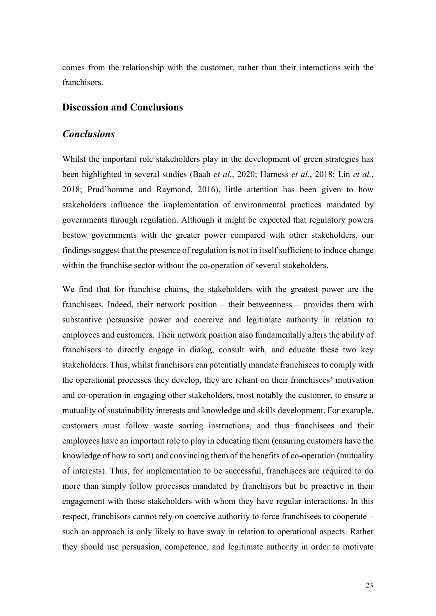comes from the relationship with the customer, rather than their interactions with the franchisors.

#### **Discussion and Conclusions**

#### *Conclusions*

Whilst the important role stakeholders play in the development of green strategies has been highlighted in several studies (Baah *et al.*, 2020; Harness *et al.*, 2018; Lin *et al.*, 2018; Prud'homme and Raymond, 2016), little attention has been given to how stakeholders influence the implementation of environmental practices mandated by governments through regulation. Although it might be expected that regulatory powers bestow governments with the greater power compared with other stakeholders, our findings suggest that the presence of regulation is not in itself sufficient to induce change within the franchise sector without the co-operation of several stakeholders.

We find that for franchise chains, the stakeholders with the greatest power are the franchisees. Indeed, their network position – their betweenness – provides them with substantive persuasive power and coercive and legitimate authority in relation to employees and customers. Their network position also fundamentally alters the ability of franchisors to directly engage in dialog, consult with, and educate these two key stakeholders. Thus, whilst franchisors can potentially mandate franchisees to comply with the operational processes they develop, they are reliant on their franchisees' motivation and co-operation in engaging other stakeholders, most notably the customer, to ensure a mutuality of sustainability interests and knowledge and skills development. For example, customers must follow waste sorting instructions, and thus franchisees and their employees have an important role to play in educating them (ensuring customers have the knowledge of how to sort) and convincing them of the benefits of co-operation (mutuality of interests). Thus, for implementation to be successful, franchisees are required to do more than simply follow processes mandated by franchisors but be proactive in their engagement with those stakeholders with whom they have regular interactions. In this respect, franchisors cannot rely on coercive authority to force franchisees to cooperate – such an approach is only likely to have sway in relation to operational aspects. Rather they should use persuasion, competence, and legitimate authority in order to motivate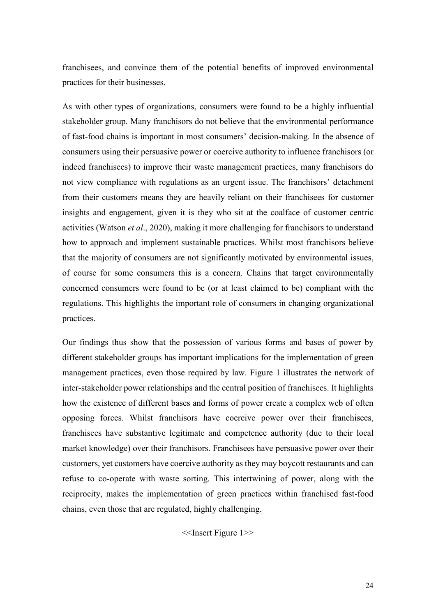franchisees, and convince them of the potential benefits of improved environmental practices for their businesses.

As with other types of organizations, consumers were found to be a highly influential stakeholder group. Many franchisors do not believe that the environmental performance of fast-food chains is important in most consumers' decision-making. In the absence of consumers using their persuasive power or coercive authority to influence franchisors (or indeed franchisees) to improve their waste management practices, many franchisors do not view compliance with regulations as an urgent issue. The franchisors' detachment from their customers means they are heavily reliant on their franchisees for customer insights and engagement, given it is they who sit at the coalface of customer centric activities (Watson *et al*., 2020), making it more challenging for franchisors to understand how to approach and implement sustainable practices. Whilst most franchisors believe that the majority of consumers are not significantly motivated by environmental issues, of course for some consumers this is a concern. Chains that target environmentally concerned consumers were found to be (or at least claimed to be) compliant with the regulations. This highlights the important role of consumers in changing organizational practices.

Our findings thus show that the possession of various forms and bases of power by different stakeholder groups has important implications for the implementation of green management practices, even those required by law. Figure 1 illustrates the network of inter-stakeholder power relationships and the central position of franchisees. It highlights how the existence of different bases and forms of power create a complex web of often opposing forces. Whilst franchisors have coercive power over their franchisees, franchisees have substantive legitimate and competence authority (due to their local market knowledge) over their franchisors. Franchisees have persuasive power over their customers, yet customers have coercive authority as they may boycott restaurants and can refuse to co-operate with waste sorting. This intertwining of power, along with the reciprocity, makes the implementation of green practices within franchised fast-food chains, even those that are regulated, highly challenging.

<<Insert Figure 1>>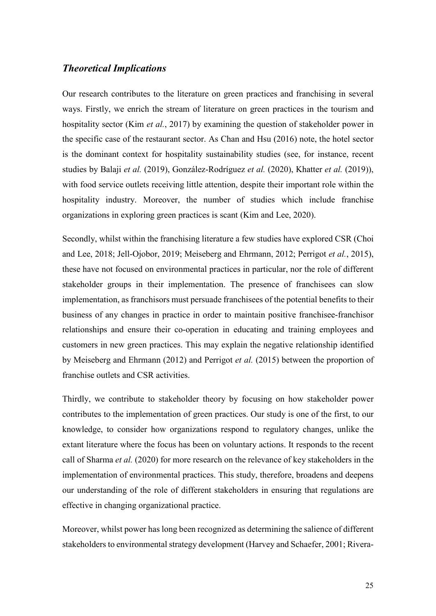#### *Theoretical Implications*

Our research contributes to the literature on green practices and franchising in several ways. Firstly, we enrich the stream of literature on green practices in the tourism and hospitality sector (Kim *et al.*, 2017) by examining the question of stakeholder power in the specific case of the restaurant sector. As Chan and Hsu (2016) note, the hotel sector is the dominant context for hospitality sustainability studies (see, for instance, recent studies by Balaji *et al.* (2019), González-Rodríguez *et al.* (2020), Khatter *et al.* (2019)), with food service outlets receiving little attention, despite their important role within the hospitality industry. Moreover, the number of studies which include franchise organizations in exploring green practices is scant (Kim and Lee, 2020).

Secondly, whilst within the franchising literature a few studies have explored CSR (Choi and Lee, 2018; Jell-Ojobor, 2019; Meiseberg and Ehrmann, 2012; Perrigot *et al.*, 2015), these have not focused on environmental practices in particular, nor the role of different stakeholder groups in their implementation. The presence of franchisees can slow implementation, as franchisors must persuade franchisees of the potential benefits to their business of any changes in practice in order to maintain positive franchisee-franchisor relationships and ensure their co-operation in educating and training employees and customers in new green practices. This may explain the negative relationship identified by Meiseberg and Ehrmann (2012) and Perrigot *et al.* (2015) between the proportion of franchise outlets and CSR activities.

Thirdly, we contribute to stakeholder theory by focusing on how stakeholder power contributes to the implementation of green practices. Our study is one of the first, to our knowledge, to consider how organizations respond to regulatory changes, unlike the extant literature where the focus has been on voluntary actions. It responds to the recent call of Sharma *et al.* (2020) for more research on the relevance of key stakeholders in the implementation of environmental practices. This study, therefore, broadens and deepens our understanding of the role of different stakeholders in ensuring that regulations are effective in changing organizational practice.

Moreover, whilst power has long been recognized as determining the salience of different stakeholders to environmental strategy development (Harvey and Schaefer, 2001; Rivera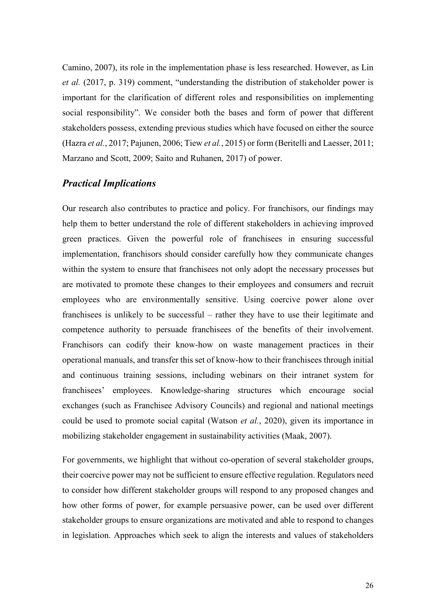Camino, 2007), its role in the implementation phase is less researched. However, as Lin *et al.* (2017, p. 319) comment, "understanding the distribution of stakeholder power is important for the clarification of different roles and responsibilities on implementing social responsibility". We consider both the bases and form of power that different stakeholders possess, extending previous studies which have focused on either the source (Hazra *et al.*, 2017; Pajunen, 2006; Tiew *et al.*, 2015) or form (Beritelli and Laesser, 2011; Marzano and Scott, 2009; Saito and Ruhanen, 2017) of power.

#### *Practical Implications*

Our research also contributes to practice and policy. For franchisors, our findings may help them to better understand the role of different stakeholders in achieving improved green practices. Given the powerful role of franchisees in ensuring successful implementation, franchisors should consider carefully how they communicate changes within the system to ensure that franchisees not only adopt the necessary processes but are motivated to promote these changes to their employees and consumers and recruit employees who are environmentally sensitive. Using coercive power alone over franchisees is unlikely to be successful – rather they have to use their legitimate and competence authority to persuade franchisees of the benefits of their involvement. Franchisors can codify their know-how on waste management practices in their operational manuals, and transfer this set of know-how to their franchisees through initial and continuous training sessions, including webinars on their intranet system for franchisees' employees. Knowledge-sharing structures which encourage social exchanges (such as Franchisee Advisory Councils) and regional and national meetings could be used to promote social capital (Watson *et al.*, 2020), given its importance in mobilizing stakeholder engagement in sustainability activities (Maak, 2007).

For governments, we highlight that without co-operation of several stakeholder groups, their coercive power may not be sufficient to ensure effective regulation. Regulators need to consider how different stakeholder groups will respond to any proposed changes and how other forms of power, for example persuasive power, can be used over different stakeholder groups to ensure organizations are motivated and able to respond to changes in legislation. Approaches which seek to align the interests and values of stakeholders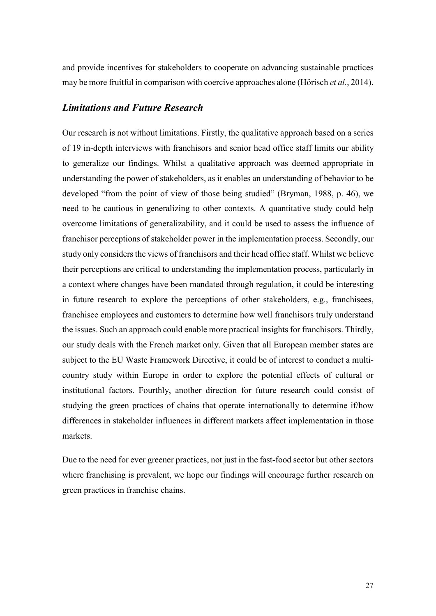and provide incentives for stakeholders to cooperate on advancing sustainable practices may be more fruitful in comparison with coercive approaches alone (Hörisch *et al.*, 2014).

#### *Limitations and Future Research*

Our research is not without limitations. Firstly, the qualitative approach based on a series of 19 in-depth interviews with franchisors and senior head office staff limits our ability to generalize our findings. Whilst a qualitative approach was deemed appropriate in understanding the power of stakeholders, as it enables an understanding of behavior to be developed "from the point of view of those being studied" (Bryman, 1988, p. 46), we need to be cautious in generalizing to other contexts. A quantitative study could help overcome limitations of generalizability, and it could be used to assess the influence of franchisor perceptions of stakeholder power in the implementation process. Secondly, our study only considers the views of franchisors and their head office staff. Whilst we believe their perceptions are critical to understanding the implementation process, particularly in a context where changes have been mandated through regulation, it could be interesting in future research to explore the perceptions of other stakeholders, e.g., franchisees, franchisee employees and customers to determine how well franchisors truly understand the issues. Such an approach could enable more practical insights for franchisors. Thirdly, our study deals with the French market only. Given that all European member states are subject to the EU Waste Framework Directive, it could be of interest to conduct a multicountry study within Europe in order to explore the potential effects of cultural or institutional factors. Fourthly, another direction for future research could consist of studying the green practices of chains that operate internationally to determine if/how differences in stakeholder influences in different markets affect implementation in those markets.

Due to the need for ever greener practices, not just in the fast-food sector but other sectors where franchising is prevalent, we hope our findings will encourage further research on green practices in franchise chains.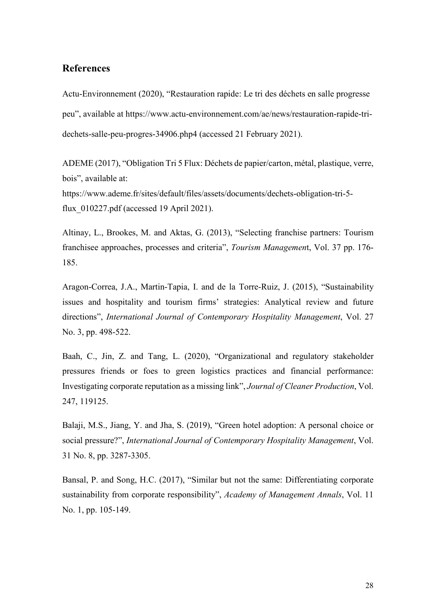#### **References**

Actu-Environnement (2020), "Restauration rapide: Le tri des déchets en salle progresse peu", available at [https://www.actu-environnement.com/ae/news/restauration-rapide-tri](https://www.actu-environnement.com/ae/news/restauration-rapide-tri-dechets-salle-peu-progres-34906.php4)[dechets-salle-peu-progres-34906.php4](https://www.actu-environnement.com/ae/news/restauration-rapide-tri-dechets-salle-peu-progres-34906.php4) (accessed 21 February 2021).

ADEME (2017), "Obligation Tri 5 Flux: Déchets de papier/carton, métal, plastique, verre, bois", available at:

[https://www.ademe.fr/sites/default/files/assets/documents/dechets-obligation-tri-5](https://www.ademe.fr/sites/default/files/assets/documents/dechets-obligation-tri-5-flux_010227.pdf) [flux\\_010227.pdf](https://www.ademe.fr/sites/default/files/assets/documents/dechets-obligation-tri-5-flux_010227.pdf) (accessed 19 April 2021).

Altinay, L., Brookes, M. and Aktas, G. (2013), "Selecting franchise partners: Tourism franchisee approaches, processes and criteria", *Tourism Managemen*t, Vol. 37 pp. 176- 185.

Aragon-Correa, J.A., Martin-Tapia, I. and de la Torre-Ruiz, J. (2015), "Sustainability issues and hospitality and tourism firms' strategies: Analytical review and future directions", *International Journal of Contemporary Hospitality Management*, Vol. 27 No. 3, pp. 498-522.

Baah, C., Jin, Z. and Tang, L. (2020), "Organizational and regulatory stakeholder pressures friends or foes to green logistics practices and financial performance: Investigating corporate reputation as a missing link", *Journal of Cleaner Production*, Vol. 247, 119125.

Balaji, M.S., Jiang, Y. and Jha, S. (2019), "Green hotel adoption: A personal choice or social pressure?", *International Journal of Contemporary Hospitality Management*, Vol. 31 No. 8, pp. 3287-3305.

Bansal, P. and Song, H.C. (2017), "Similar but not the same: Differentiating corporate sustainability from corporate responsibility", *Academy of Management Annals*, Vol. 11 No. 1, pp. 105-149.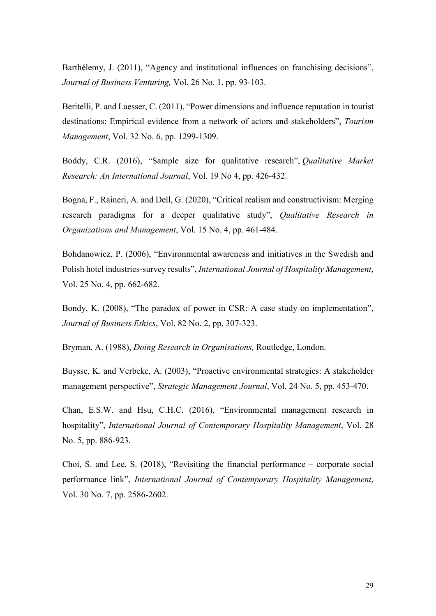Barthélemy, J. (2011), "Agency and institutional influences on franchising decisions", *Journal of Business Venturing,* Vol. 26 No. 1, pp. 93-103.

Beritelli, P. and Laesser, C. (2011), "Power dimensions and influence reputation in tourist destinations: Empirical evidence from a network of actors and stakeholders", *Tourism Management*, Vol. 32 No. 6, pp. 1299-1309.

Boddy, C.R. (2016), "Sample size for qualitative research", *Qualitative Market Research: An International Journal*, Vol. 19 No 4, pp. 426-432.

Bogna, F., Raineri, A. and Dell, G. (2020), "Critical realism and constructivism: Merging research paradigms for a deeper qualitative study", *Qualitative Research in Organizations and Management*, Vol. 15 No. 4, pp. 461-484.

Bohdanowicz, P. (2006), "Environmental awareness and initiatives in the Swedish and Polish hotel industries-survey results", *International Journal of Hospitality Management*, Vol. 25 No. 4, pp. 662-682.

Bondy, K. (2008), "The paradox of power in CSR: A case study on implementation", *Journal of Business Ethics*, Vol. 82 No. 2, pp. 307-323.

Bryman, A. (1988), *Doing Research in Organisations,* Routledge, London.

Buysse, K. and Verbeke, A. (2003), "Proactive environmental strategies: A stakeholder management perspective", *Strategic Management Journal*, Vol. 24 No. 5, pp. 453-470.

Chan, E.S.W. and Hsu, C.H.C. (2016), "Environmental management research in hospitality", *International Journal of Contemporary Hospitality Management*, Vol. 28 No. 5, pp. 886-923.

Choi, S. and Lee, S. (2018), "Revisiting the financial performance – corporate social performance link", *International Journal of Contemporary Hospitality Management*, Vol. 30 No. 7, pp. 2586-2602.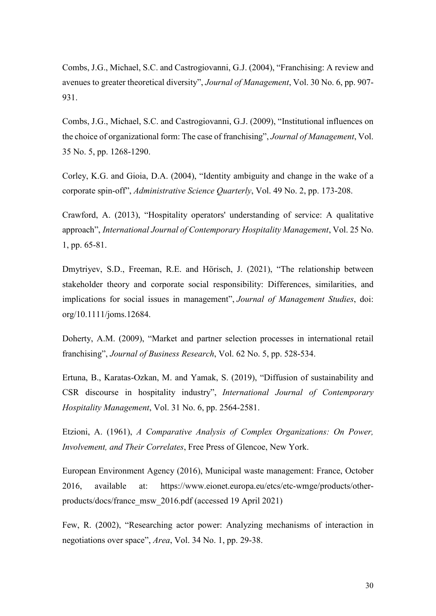Combs, J.G., Michael, S.C. and Castrogiovanni, G.J. (2004), "Franchising: A review and avenues to greater theoretical diversity", *Journal of Management*, Vol. 30 No. 6, pp. 907- 931.

Combs, J.G., Michael, S.C. and Castrogiovanni, G.J. (2009), "Institutional influences on the choice of organizational form: The case of franchising", *Journal of Management*, Vol. 35 No. 5, pp. 1268-1290.

Corley, K.G. and Gioia, D.A. (2004), "Identity ambiguity and change in the wake of a corporate spin-off", *Administrative Science Quarterly*, Vol. 49 No. 2, pp. 173-208.

Crawford, A. (2013), "Hospitality operators' understanding of service: A qualitative approach", *International Journal of Contemporary Hospitality Management*, Vol. 25 No. 1, pp. 65-81.

Dmytriyev, S.D., Freeman, R.E. and Hörisch, J. (2021), "The relationship between stakeholder theory and corporate social responsibility: Differences, similarities, and implications for social issues in management", *Journal of Management Studies*, doi: org/10.1111/joms.12684.

Doherty, A.M. (2009), "Market and partner selection processes in international retail franchising", *Journal of Business Research*, Vol. 62 No. 5, pp. 528-534.

Ertuna, B., Karatas-Ozkan, M. and Yamak, S. (2019), "Diffusion of sustainability and CSR discourse in hospitality industry", *International Journal of Contemporary Hospitality Management*, Vol. 31 No. 6, pp. 2564-2581.

Etzioni, A. (1961), *A Comparative Analysis of Complex Organizations: On Power, Involvement, and Their Correlates*, Free Press of Glencoe, New York.

European Environment Agency (2016), Municipal waste management: France, October 2016, available at: [https://www.eionet.europa.eu/etcs/etc-wmge/products/other](https://www.eionet.europa.eu/etcs/etc-wmge/products/other-products/docs/france_msw_2016.pdf)[products/docs/france\\_msw\\_2016.pdf](https://www.eionet.europa.eu/etcs/etc-wmge/products/other-products/docs/france_msw_2016.pdf) (accessed 19 April 2021)

Few, R. (2002), "Researching actor power: Analyzing mechanisms of interaction in negotiations over space", *Area*, Vol. 34 No. 1, pp. 29-38.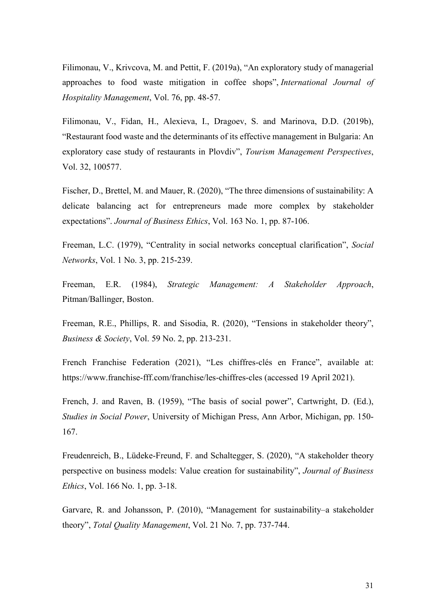Filimonau, V., Krivcova, M. and Pettit, F. (2019a), "An exploratory study of managerial approaches to food waste mitigation in coffee shops", *International Journal of Hospitality Management*, Vol. 76, pp. 48-57.

Filimonau, V., Fidan, H., Alexieva, I., Dragoev, S. and Marinova, D.D. (2019b), "Restaurant food waste and the determinants of its effective management in Bulgaria: An exploratory case study of restaurants in Plovdiv", *Tourism Management Perspectives*, Vol. 32, 100577.

Fischer, D., Brettel, M. and Mauer, R. (2020), "The three dimensions of sustainability: A delicate balancing act for entrepreneurs made more complex by stakeholder expectations". *Journal of Business Ethics*, Vol. 163 No. 1, pp. 87-106.

Freeman, L.C. (1979), "Centrality in social networks conceptual clarification", *Social Networks*, Vol. 1 No. 3, pp. 215-239.

Freeman, E.R. (1984), *Strategic Management: A Stakeholder Approach*, Pitman/Ballinger, Boston.

Freeman, R.E., Phillips, R. and Sisodia, R. (2020), "Tensions in stakeholder theory", *Business & Society*, Vol. 59 No. 2, pp. 213-231.

French Franchise Federation (2021), "Les chiffres-clés en France", available at: https://www.franchise-fff.com/franchise/les-chiffres-cles (accessed 19 April 2021).

French, J. and Raven, B. (1959), "The basis of social power", Cartwright, D. (Ed.), *Studies in Social Power*, University of Michigan Press, Ann Arbor, Michigan, pp. 150- 167.

Freudenreich, B., Lüdeke-Freund, F. and Schaltegger, S. (2020), "A stakeholder theory perspective on business models: Value creation for sustainability", *Journal of Business Ethics*, Vol. 166 No. 1, pp. 3-18.

Garvare, R. and Johansson, P. (2010), "Management for sustainability–a stakeholder theory", *Total Quality Management*, Vol. 21 No. 7, pp. 737-744.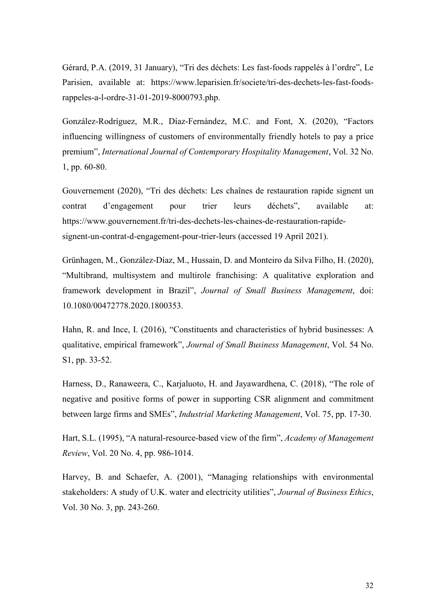Gérard, P.A. (2019, 31 January), "Tri des déchets: Les fast-foods rappelés à l'ordre", Le Parisien, available at: https://www.leparisien.fr/societe/tri-des-dechets-les-fast-foodsrappeles-a-l-ordre-31-01-2019-8000793.php.

González-Rodríguez, M.R., Díaz-Fernández, M.C. and Font, X. (2020), "Factors influencing willingness of customers of environmentally friendly hotels to pay a price premium", *International Journal of Contemporary Hospitality Management*, Vol. 32 No. 1, pp. 60-80.

Gouvernement (2020), "Tri des déchets: Les chaînes de restauration rapide signent un contrat d'engagement pour trier leurs déchets", available at: [https://www.gouvernement.fr/tri-des-dechets-les-chaines-de-restauration-rapide](https://www.gouvernement.fr/tri-des-dechets-les-chaines-de-restauration-rapide-signent-un-contrat-d-engagement-pour-trier-leurs)[signent-un-contrat-d-engagement-pour-trier-leurs](https://www.gouvernement.fr/tri-des-dechets-les-chaines-de-restauration-rapide-signent-un-contrat-d-engagement-pour-trier-leurs) (accessed 19 April 2021).

Grünhagen, M., González-Díaz, M., Hussain, D. and Monteiro da Silva Filho, H. (2020), "Multibrand, multisystem and multirole franchising: A qualitative exploration and framework development in Brazil", *Journal of Small Business Management*, doi: 10.1080/00472778.2020.1800353.

Hahn, R. and Ince, I. (2016), "Constituents and characteristics of hybrid businesses: A qualitative, empirical framework", *Journal of Small Business Management*, Vol. 54 No. S1, pp. 33-52.

Harness, D., Ranaweera, C., Karjaluoto, H. and Jayawardhena, C. (2018), "The role of negative and positive forms of power in supporting CSR alignment and commitment between large firms and SMEs", *Industrial Marketing Management*, Vol. 75, pp. 17-30.

Hart, S.L. (1995), "A natural-resource-based view of the firm", *Academy of Management Review*, Vol. 20 No. 4, pp. 986-1014.

Harvey, B. and Schaefer, A. (2001), "Managing relationships with environmental stakeholders: A study of U.K. water and electricity utilities", *Journal of Business Ethics*, Vol. 30 No. 3, pp. 243-260.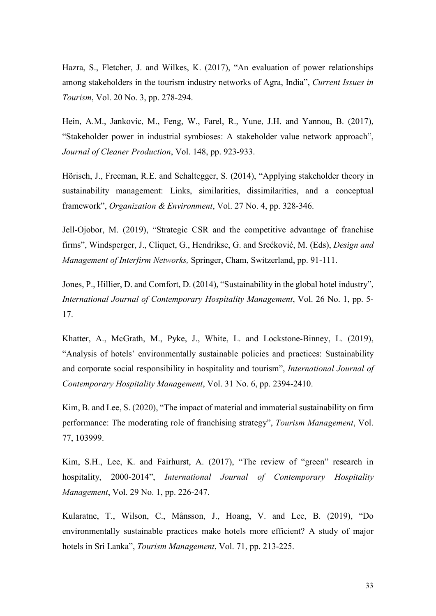Hazra, S., Fletcher, J. and Wilkes, K. (2017), "An evaluation of power relationships among stakeholders in the tourism industry networks of Agra, India", *Current Issues in Tourism*, Vol. 20 No. 3, pp. 278-294.

Hein, A.M., Jankovic, M., Feng, W., Farel, R., Yune, J.H. and Yannou, B. (2017), "Stakeholder power in industrial symbioses: A stakeholder value network approach", *Journal of Cleaner Production*, Vol. 148, pp. 923-933.

Hörisch, J., Freeman, R.E. and Schaltegger, S. (2014), "Applying stakeholder theory in sustainability management: Links, similarities, dissimilarities, and a conceptual framework", *Organization & Environment*, Vol. 27 No. 4, pp. 328-346.

Jell-Ojobor, M. (2019), "Strategic CSR and the competitive advantage of franchise firms", Windsperger, J., Cliquet, G., Hendrikse, G. and Srećković, M. (Eds), *Design and Management of Interfirm Networks,* Springer, Cham, Switzerland, pp. 91-111.

Jones, P., Hillier, D. and Comfort, D. (2014), "Sustainability in the global hotel industry", *International Journal of Contemporary Hospitality Management*, Vol. 26 No. 1, pp. 5- 17.

Khatter, A., McGrath, M., Pyke, J., White, L. and Lockstone-Binney, L. (2019), "Analysis of hotels' environmentally sustainable policies and practices: Sustainability and corporate social responsibility in hospitality and tourism", *International Journal of Contemporary Hospitality Management*, Vol. 31 No. 6, pp. 2394-2410.

Kim, B. and Lee, S. (2020), "The impact of material and immaterial sustainability on firm performance: The moderating role of franchising strategy", *Tourism Management*, Vol. 77, 103999.

Kim, S.H., Lee, K. and Fairhurst, A. (2017), "The review of "green" research in hospitality, 2000-2014", *International Journal of Contemporary Hospitality Management*, Vol. 29 No. 1, pp. 226-247.

Kularatne, T., Wilson, C., Månsson, J., Hoang, V. and Lee, B. (2019), "Do environmentally sustainable practices make hotels more efficient? A study of major hotels in Sri Lanka", *Tourism Management*, Vol. 71, pp. 213-225.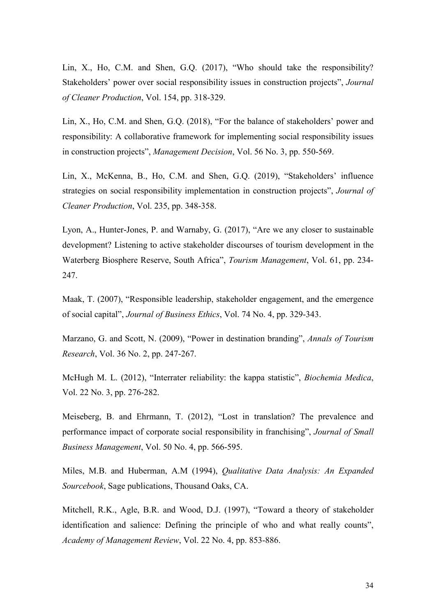Lin, X., Ho, C.M. and Shen, G.Q. (2017), "Who should take the responsibility? Stakeholders' power over social responsibility issues in construction projects", *Journal of Cleaner Production*, Vol. 154, pp. 318-329.

Lin, X., Ho, C.M. and Shen, G.Q. (2018), "For the balance of stakeholders' power and responsibility: A collaborative framework for implementing social responsibility issues in construction projects", *Management Decision*, Vol. 56 No. 3, pp. 550-569.

Lin, X., McKenna, B., Ho, C.M. and Shen, G.Q. (2019), "Stakeholders' influence strategies on social responsibility implementation in construction projects", *Journal of Cleaner Production*, Vol. 235, pp. 348-358.

Lyon, A., Hunter-Jones, P. and Warnaby, G. (2017), "Are we any closer to sustainable development? Listening to active stakeholder discourses of tourism development in the Waterberg Biosphere Reserve, South Africa", *Tourism Management*, Vol. 61, pp. 234- 247.

Maak, T. (2007), "Responsible leadership, stakeholder engagement, and the emergence of social capital", *Journal of Business Ethics*, Vol. 74 No. 4, pp. 329-343.

Marzano, G. and Scott, N. (2009), "Power in destination branding", *Annals of Tourism Research*, Vol. 36 No. 2, pp. 247-267.

McHugh M. L. (2012), "Interrater reliability: the kappa statistic", *Biochemia Medica*, Vol. 22 No. 3, pp. 276-282.

Meiseberg, B. and Ehrmann, T. (2012), "Lost in translation? The prevalence and performance impact of corporate social responsibility in franchising", *Journal of Small Business Management*, Vol. 50 No. 4, pp. 566-595.

Miles, M.B. and Huberman, A.M (1994), *Qualitative Data Analysis: An Expanded Sourcebook*, Sage publications, Thousand Oaks, CA.

Mitchell, R.K., Agle, B.R. and Wood, D.J. (1997), "Toward a theory of stakeholder identification and salience: Defining the principle of who and what really counts", *Academy of Management Review*, Vol. 22 No. 4, pp. 853-886.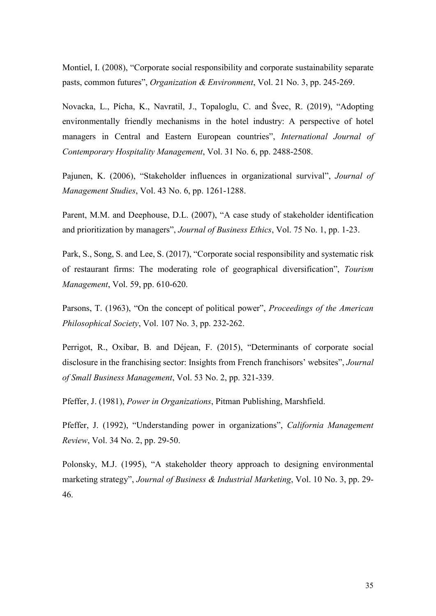Montiel, I. (2008), "Corporate social responsibility and corporate sustainability separate pasts, common futures", *Organization & Environment*, Vol. 21 No. 3, pp. 245-269.

Novacka, L., Pícha, K., Navratil, J., Topaloglu, C. and Švec, R. (2019), "Adopting environmentally friendly mechanisms in the hotel industry: A perspective of hotel managers in Central and Eastern European countries", *International Journal of Contemporary Hospitality Management*, Vol. 31 No. 6, pp. 2488-2508.

Pajunen, K. (2006), "Stakeholder influences in organizational survival", *Journal of Management Studies*, Vol. 43 No. 6, pp. 1261-1288.

Parent, M.M. and Deephouse, D.L. (2007), "A case study of stakeholder identification and prioritization by managers", *Journal of Business Ethics*, Vol. 75 No. 1, pp. 1-23.

Park, S., Song, S. and Lee, S. (2017), "Corporate social responsibility and systematic risk of restaurant firms: The moderating role of geographical diversification", *Tourism Management*, Vol. 59, pp. 610-620.

Parsons, T. (1963), "On the concept of political power", *Proceedings of the American Philosophical Society*, Vol. 107 No. 3, pp. 232-262.

Perrigot, R., Oxibar, B. and Déjean, F. (2015), "Determinants of corporate social disclosure in the franchising sector: Insights from French franchisors' websites", *Journal of Small Business Management*, Vol. 53 No. 2, pp. 321-339.

Pfeffer, J. (1981), *Power in Organizations*, Pitman Publishing, Marshfield.

Pfeffer, J. (1992), "Understanding power in organizations", *California Management Review*, Vol. 34 No. 2, pp. 29-50.

Polonsky, M.J. (1995), "A stakeholder theory approach to designing environmental marketing strategy", *Journal of Business & Industrial Marketing*, Vol. 10 No. 3, pp. 29- 46.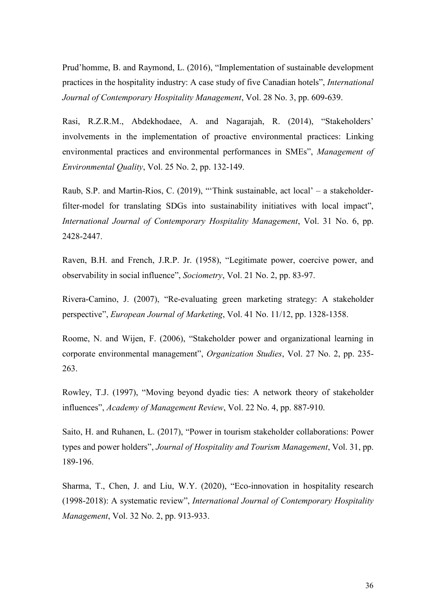Prud'homme, B. and Raymond, L. (2016), "Implementation of sustainable development practices in the hospitality industry: A case study of five Canadian hotels", *International Journal of Contemporary Hospitality Management*, Vol. 28 No. 3, pp. 609-639.

Rasi, R.Z.R.M., Abdekhodaee, A. and Nagarajah, R. (2014), "Stakeholders' involvements in the implementation of proactive environmental practices: Linking environmental practices and environmental performances in SMEs", *Management of Environmental Quality*, Vol. 25 No. 2, pp. 132-149.

Raub, S.P. and Martin-Rios, C. (2019), "'Think sustainable, act local' – a stakeholderfilter-model for translating SDGs into sustainability initiatives with local impact", *International Journal of Contemporary Hospitality Management*, Vol. 31 No. 6, pp. 2428-2447.

Raven, B.H. and French, J.R.P. Jr. (1958), "Legitimate power, coercive power, and observability in social influence", *Sociometry*, Vol. 21 No. 2, pp. 83-97.

Rivera‐Camino, J. (2007), "Re‐evaluating green marketing strategy: A stakeholder perspective", *European Journal of Marketing*, Vol. 41 No. 11/12, pp. 1328-1358.

Roome, N. and Wijen, F. (2006), "Stakeholder power and organizational learning in corporate environmental management", *Organization Studies*, Vol. 27 No. 2, pp. 235- 263.

Rowley, T.J. (1997), "Moving beyond dyadic ties: A network theory of stakeholder influences", *Academy of Management Review*, Vol. 22 No. 4, pp. 887-910.

Saito, H. and Ruhanen, L. (2017), "Power in tourism stakeholder collaborations: Power types and power holders", *Journal of Hospitality and Tourism Management*, Vol. 31, pp. 189-196.

Sharma, T., Chen, J. and Liu, W.Y. (2020), "Eco-innovation in hospitality research (1998-2018): A systematic review", *International Journal of Contemporary Hospitality Management*, Vol. 32 No. 2, pp. 913-933.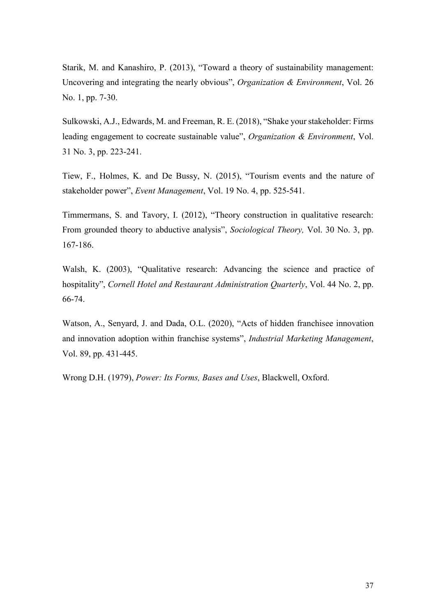Starik, M. and Kanashiro, P. (2013), "Toward a theory of sustainability management: Uncovering and integrating the nearly obvious", *Organization & Environment*, Vol. 26 No. 1, pp. 7-30.

Sulkowski, A.J., Edwards, M. and Freeman, R. E. (2018), "Shake your stakeholder: Firms leading engagement to cocreate sustainable value", *Organization & Environment*, Vol. 31 No. 3, pp. 223-241.

Tiew, F., Holmes, K. and De Bussy, N. (2015), "Tourism events and the nature of stakeholder power", *Event Management*, Vol. 19 No. 4, pp. 525-541.

Timmermans, S. and Tavory, I. (2012), "Theory construction in qualitative research: From grounded theory to abductive analysis", *Sociological Theory,* Vol. 30 No. 3, pp. 167-186.

Walsh, K. (2003), "Qualitative research: Advancing the science and practice of hospitality", *Cornell Hotel and Restaurant Administration Quarterly*, Vol. 44 No. 2, pp. 66-74.

Watson, A., Senyard, J. and Dada, O.L. (2020), "Acts of hidden franchisee innovation and innovation adoption within franchise systems", *Industrial Marketing Management*, Vol. 89, pp. 431-445.

Wrong D.H. (1979), *Power: Its Forms, Bases and Uses*, Blackwell, Oxford.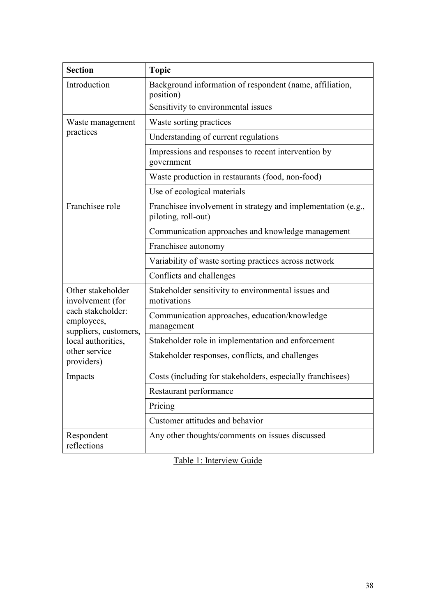| <b>Section</b>                                                                                                                                         | <b>Topic</b>                                                                        |  |
|--------------------------------------------------------------------------------------------------------------------------------------------------------|-------------------------------------------------------------------------------------|--|
| Introduction                                                                                                                                           | Background information of respondent (name, affiliation,<br>position)               |  |
|                                                                                                                                                        | Sensitivity to environmental issues                                                 |  |
| Waste management<br>practices                                                                                                                          | Waste sorting practices                                                             |  |
|                                                                                                                                                        | Understanding of current regulations                                                |  |
|                                                                                                                                                        | Impressions and responses to recent intervention by<br>government                   |  |
|                                                                                                                                                        | Waste production in restaurants (food, non-food)                                    |  |
|                                                                                                                                                        | Use of ecological materials                                                         |  |
| Franchisee role                                                                                                                                        | Franchisee involvement in strategy and implementation (e.g.,<br>piloting, roll-out) |  |
|                                                                                                                                                        | Communication approaches and knowledge management                                   |  |
|                                                                                                                                                        | Franchisee autonomy                                                                 |  |
|                                                                                                                                                        | Variability of waste sorting practices across network                               |  |
|                                                                                                                                                        | Conflicts and challenges                                                            |  |
| Other stakeholder<br>involvement (for<br>each stakeholder:<br>employees,<br>suppliers, customers,<br>local authorities,<br>other service<br>providers) | Stakeholder sensitivity to environmental issues and<br>motivations                  |  |
|                                                                                                                                                        | Communication approaches, education/knowledge<br>management                         |  |
|                                                                                                                                                        | Stakeholder role in implementation and enforcement                                  |  |
|                                                                                                                                                        | Stakeholder responses, conflicts, and challenges                                    |  |
| Impacts                                                                                                                                                | Costs (including for stakeholders, especially franchisees)                          |  |
|                                                                                                                                                        | Restaurant performance                                                              |  |
|                                                                                                                                                        | Pricing                                                                             |  |
|                                                                                                                                                        | Customer attitudes and behavior                                                     |  |
| Respondent<br>reflections                                                                                                                              | Any other thoughts/comments on issues discussed                                     |  |

Table 1: Interview Guide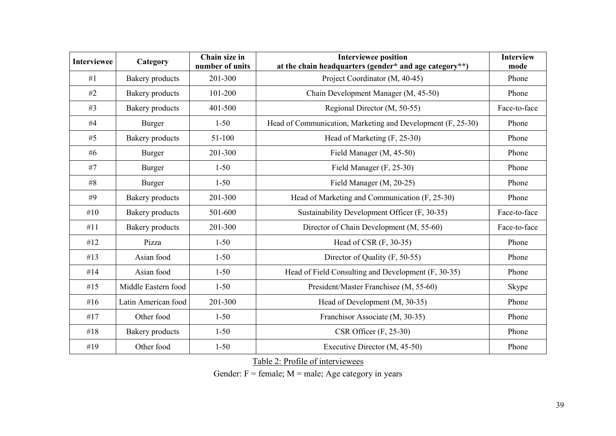| <b>Interviewee</b> | Category               | Chain size in<br>number of units | <b>Interviewee position</b><br>at the chain headquarters (gender* and age category**) | <b>Interview</b><br>mode |
|--------------------|------------------------|----------------------------------|---------------------------------------------------------------------------------------|--------------------------|
| #1                 | <b>Bakery</b> products | 201-300                          | Project Coordinator (M, 40-45)                                                        | Phone                    |
| #2                 | Bakery products        | 101-200                          | Chain Development Manager (M, 45-50)                                                  | Phone                    |
| #3                 | <b>Bakery</b> products | 401-500                          | Regional Director (M, 50-55)                                                          | Face-to-face             |
| #4                 | <b>Burger</b>          | $1 - 50$                         | Head of Communication, Marketing and Development (F, 25-30)                           | Phone                    |
| #5                 | <b>Bakery</b> products | 51-100                           | Head of Marketing (F, 25-30)                                                          | Phone                    |
| #6                 | Burger                 | 201-300                          | Field Manager (M, 45-50)                                                              | Phone                    |
| #7                 | Burger                 | $1 - 50$                         | Field Manager (F, 25-30)                                                              | Phone                    |
| #8                 | Burger                 | $1 - 50$                         | Field Manager (M, 20-25)                                                              | Phone                    |
| #9                 | <b>Bakery</b> products | 201-300                          | Head of Marketing and Communication (F, 25-30)                                        | Phone                    |
| #10                | <b>Bakery</b> products | 501-600                          | Sustainability Development Officer (F, 30-35)                                         | Face-to-face             |
| #11                | <b>Bakery</b> products | 201-300                          | Director of Chain Development (M, 55-60)                                              | Face-to-face             |
| #12                | Pizza                  | $1 - 50$                         | Head of CSR (F, 30-35)                                                                | Phone                    |
| #13                | Asian food             | $1 - 50$                         | Director of Quality (F, 50-55)                                                        | Phone                    |
| #14                | Asian food             | $1 - 50$                         | Head of Field Consulting and Development (F, 30-35)                                   | Phone                    |
| #15                | Middle Eastern food    | $1 - 50$                         | President/Master Franchisee (M, 55-60)                                                | Skype                    |
| # $16$             | Latin American food    | 201-300                          | Head of Development (M, 30-35)                                                        | Phone                    |
| #17                | Other food             | $1 - 50$                         | Franchisor Associate (M, 30-35)                                                       | Phone                    |
| #18                | <b>Bakery</b> products | $1 - 50$                         | $CSR$ Officer $(F, 25-30)$                                                            | Phone                    |
| #19                | Other food             | $1 - 50$                         | Executive Director (M, 45-50)                                                         | Phone                    |

Table 2: Profile of interviewees

Gender:  $F =$  female;  $M =$  male; Age category in years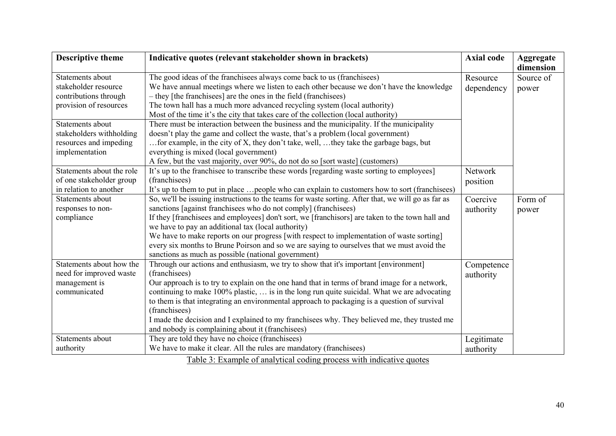| dimension<br>The good ideas of the franchisees always come back to us (franchisees)<br>Statements about<br>Resource<br>Source of<br>stakeholder resource<br>We have annual meetings where we listen to each other because we don't have the knowledge<br>dependency<br>power<br>- they [the franchisees] are the ones in the field (franchisees)<br>contributions through<br>The town hall has a much more advanced recycling system (local authority)<br>provision of resources |  |
|----------------------------------------------------------------------------------------------------------------------------------------------------------------------------------------------------------------------------------------------------------------------------------------------------------------------------------------------------------------------------------------------------------------------------------------------------------------------------------|--|
|                                                                                                                                                                                                                                                                                                                                                                                                                                                                                  |  |
|                                                                                                                                                                                                                                                                                                                                                                                                                                                                                  |  |
|                                                                                                                                                                                                                                                                                                                                                                                                                                                                                  |  |
|                                                                                                                                                                                                                                                                                                                                                                                                                                                                                  |  |
|                                                                                                                                                                                                                                                                                                                                                                                                                                                                                  |  |
| Most of the time it's the city that takes care of the collection (local authority)                                                                                                                                                                                                                                                                                                                                                                                               |  |
| There must be interaction between the business and the municipality. If the municipality<br>Statements about                                                                                                                                                                                                                                                                                                                                                                     |  |
| stakeholders withholding<br>doesn't play the game and collect the waste, that's a problem (local government)                                                                                                                                                                                                                                                                                                                                                                     |  |
| for example, in the city of X, they don't take, well,  they take the garbage bags, but<br>resources and impeding                                                                                                                                                                                                                                                                                                                                                                 |  |
| everything is mixed (local government)<br>implementation                                                                                                                                                                                                                                                                                                                                                                                                                         |  |
| A few, but the vast majority, over 90%, do not do so [sort waste] (customers)                                                                                                                                                                                                                                                                                                                                                                                                    |  |
| Statements about the role<br>It's up to the franchise to transcribe these words [regarding waste sorting to employees]<br>Network                                                                                                                                                                                                                                                                                                                                                |  |
| (franchisees)<br>of one stakeholder group<br>position                                                                                                                                                                                                                                                                                                                                                                                                                            |  |
| in relation to another<br>It's up to them to put in place  people who can explain to customers how to sort (franchisees)                                                                                                                                                                                                                                                                                                                                                         |  |
| So, we'll be issuing instructions to the teams for waste sorting. After that, we will go as far as<br>Statements about<br>Coercive<br>Form of                                                                                                                                                                                                                                                                                                                                    |  |
| sanctions [against franchisees who do not comply] (franchisees)<br>responses to non-<br>authority<br>power                                                                                                                                                                                                                                                                                                                                                                       |  |
| If they [franchisees and employees] don't sort, we [franchisors] are taken to the town hall and<br>compliance                                                                                                                                                                                                                                                                                                                                                                    |  |
| we have to pay an additional tax (local authority)                                                                                                                                                                                                                                                                                                                                                                                                                               |  |
| We have to make reports on our progress [with respect to implementation of waste sorting]                                                                                                                                                                                                                                                                                                                                                                                        |  |
| every six months to Brune Poirson and so we are saying to ourselves that we must avoid the                                                                                                                                                                                                                                                                                                                                                                                       |  |
| sanctions as much as possible (national government)                                                                                                                                                                                                                                                                                                                                                                                                                              |  |
| Statements about how the<br>Through our actions and enthusiasm, we try to show that it's important [environment]<br>Competence                                                                                                                                                                                                                                                                                                                                                   |  |
| (franchisees)<br>need for improved waste<br>authority                                                                                                                                                                                                                                                                                                                                                                                                                            |  |
| management is<br>Our approach is to try to explain on the one hand that in terms of brand image for a network,                                                                                                                                                                                                                                                                                                                                                                   |  |
| continuing to make 100% plastic,  is in the long run quite suicidal. What we are advocating<br>communicated                                                                                                                                                                                                                                                                                                                                                                      |  |
| to them is that integrating an environmental approach to packaging is a question of survival                                                                                                                                                                                                                                                                                                                                                                                     |  |
| (franchisees)                                                                                                                                                                                                                                                                                                                                                                                                                                                                    |  |
| I made the decision and I explained to my franchisees why. They believed me, they trusted me                                                                                                                                                                                                                                                                                                                                                                                     |  |
| and nobody is complaining about it (franchisees)                                                                                                                                                                                                                                                                                                                                                                                                                                 |  |
| They are told they have no choice (franchisees)<br>Statements about<br>Legitimate                                                                                                                                                                                                                                                                                                                                                                                                |  |
| We have to make it clear. All the rules are mandatory (franchisees)<br>authority<br>authority                                                                                                                                                                                                                                                                                                                                                                                    |  |
| Table 3: Example of analytical coding process with indicative quotes                                                                                                                                                                                                                                                                                                                                                                                                             |  |